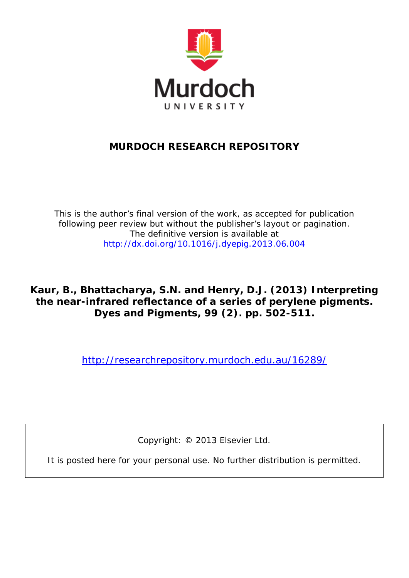

# **MURDOCH RESEARCH REPOSITORY**

*This is the author's final version of the work, as accepted for publication following peer review but without the publisher's layout or pagination. The definitive version is available at <http://dx.doi.org/10.1016/j.dyepig.2013.06.004>*

**Kaur, B., Bhattacharya, S.N. and Henry, D.J. (2013) Interpreting the near-infrared reflectance of a series of perylene pigments. Dyes and Pigments, 99 (2). pp. 502-511.**

<http://researchrepository.murdoch.edu.au/16289/>

Copyright: © 2013 Elsevier Ltd.

It is posted here for your personal use. No further distribution is permitted.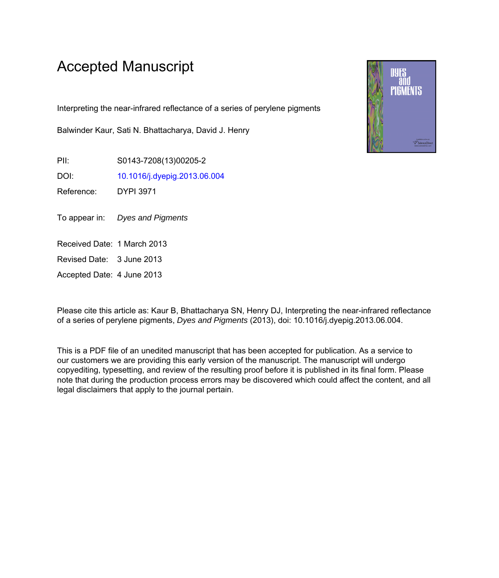# Accepted Manuscript

Interpreting the near-infrared reflectance of a series of perylene pigments

Balwinder Kaur, Sati N. Bhattacharya, David J. Henry

PII: S0143-7208(13)00205-2

DOI: [10.1016/j.dyepig.2013.06.004](http://dx.doi.org/10.1016/j.dyepig.2013.06.004)

Reference: DYPI 3971

To appear in: Dyes and Pigments

Received Date: 1 March 2013

Revised Date: 3 June 2013

Accepted Date: 4 June 2013

Please cite this article as: Kaur B, Bhattacharya SN, Henry DJ, Interpreting the near-infrared reflectance of a series of perylene pigments, Dyes and Pigments (2013), doi: 10.1016/j.dyepig.2013.06.004.

This is a PDF file of an unedited manuscript that has been accepted for publication. As a service to our customers we are providing this early version of the manuscript. The manuscript will undergo copyediting, typesetting, and review of the resulting proof before it is published in its final form. Please note that during the production process errors may be discovered which could affect the content, and all legal disclaimers that apply to the journal pertain.

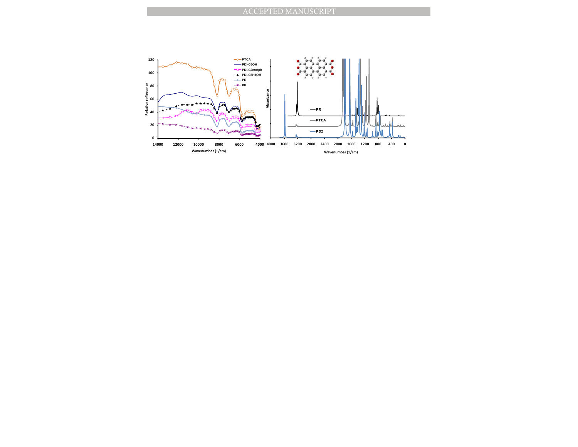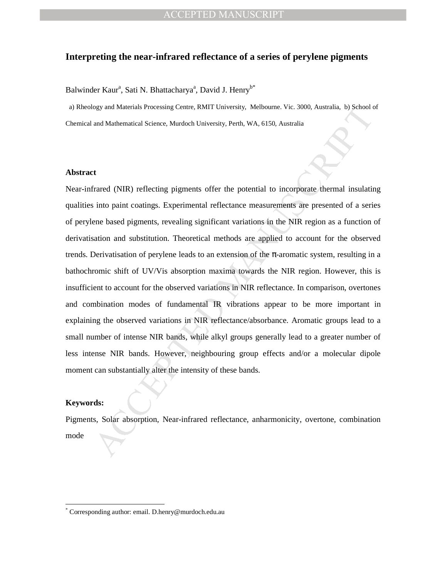#### **Interpreting the near-infrared reflectance of a series of perylene pigments**

Balwinder Kaur<sup>a</sup>, Sati N. Bhattacharya<sup>a</sup>, David J. Henry<sup>b\*</sup>

 a) Rheology and Materials Processing Centre, RMIT University, Melbourne. Vic. 3000, Australia, b) School of Chemical and Mathematical Science, Murdoch University, Perth, WA, 6150, Australia

#### **Abstract**

ogy and Materials Processing Centre, RMIT University. Melbourne, Vic. 3000, Australia. b) School of and Mathematical Science, Murdoch University, Perth, WA, 6150, Australia<br>and Mathematical Science, Murdoch University, Per Near-infrared (NIR) reflecting pigments offer the potential to incorporate thermal insulating qualities into paint coatings. Experimental reflectance measurements are presented of a series of perylene based pigments, revealing significant variations in the NIR region as a function of derivatisation and substitution. Theoretical methods are applied to account for the observed trends. Derivatisation of perylene leads to an extension of the  $\pi$ -aromatic system, resulting in a bathochromic shift of UV/Vis absorption maxima towards the NIR region. However, this is insufficient to account for the observed variations in NIR reflectance. In comparison, overtones and combination modes of fundamental IR vibrations appear to be more important in explaining the observed variations in NIR reflectance/absorbance. Aromatic groups lead to a small number of intense NIR bands, while alkyl groups generally lead to a greater number of less intense NIR bands. However, neighbouring group effects and/or a molecular dipole moment can substantially alter the intensity of these bands.

#### **Keywords:**

-

Pigments, Solar absorption, Near-infrared reflectance, anharmonicity, overtone, combination mode

<sup>\*</sup> Corresponding author: email. D.henry@murdoch.edu.au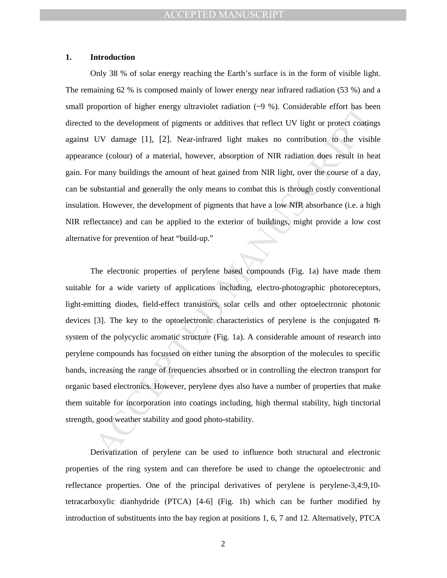#### **1. Introduction**

Only 38 % of solar energy reaching the Earth's surface is in the form of visible light. The remaining 62 % is composed mainly of lower energy near infrared radiation (53 %) and a small proportion of higher energy ultraviolet radiation  $(\sim 9, 9)$ . Considerable effort has been directed to the development of pigments or additives that reflect UV light or protect coatings against UV damage [1], [2]. Near-infrared light makes no contribution to the visible appearance (colour) of a material, however, absorption of NIR radiation does result in heat gain. For many buildings the amount of heat gained from NIR light, over the course of a day, can be substantial and generally the only means to combat this is through costly conventional insulation. However, the development of pigments that have a low NIR absorbance (i.e. a high NIR reflectance) and can be applied to the exterior of buildings, might provide a low cost alternative for prevention of heat "build-up."

roportion of higher energy ultraviolet radiation (-9 %). Considerable effort has bee<br>to the development of pigments or additives that reflect UV light or protect coating<br>UV damage [1], [2]. Near-infrared light makes no con The electronic properties of perylene based compounds (Fig. 1a) have made them suitable for a wide variety of applications including, electro-photographic photoreceptors, light-emitting diodes, field-effect transistors, solar cells and other optoelectronic photonic devices [3]. The key to the optoelectronic characteristics of perylene is the conjugated  $\pi$ system of the polycyclic aromatic structure (Fig. 1a). A considerable amount of research into perylene compounds has focussed on either tuning the absorption of the molecules to specific bands, increasing the range of frequencies absorbed or in controlling the electron transport for organic based electronics. However, perylene dyes also have a number of properties that make them suitable for incorporation into coatings including, high thermal stability, high tinctorial strength, good weather stability and good photo-stability.

Derivatization of perylene can be used to influence both structural and electronic properties of the ring system and can therefore be used to change the optoelectronic and reflectance properties. One of the principal derivatives of perylene is perylene-3,4:9,10 tetracarboxylic dianhydride (PTCA) [4-6] (Fig. 1b) which can be further modified by introduction of substituents into the bay region at positions 1, 6, 7 and 12. Alternatively, PTCA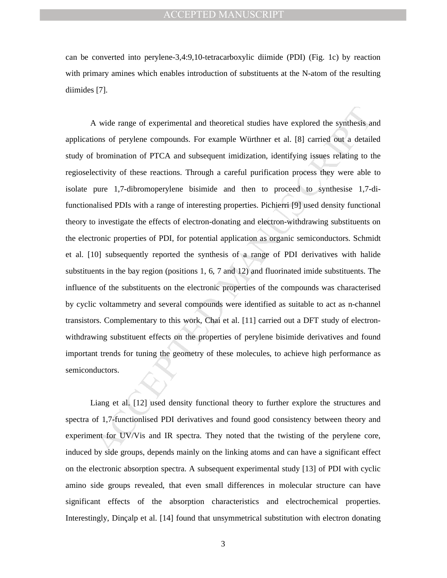can be converted into perylene-3,4:9,10-tetracarboxylic diimide (PDI) (Fig. 1c) by reaction with primary amines which enables introduction of substituents at the N-atom of the resulting diimides [7].

A wide range of experimental and theoretical studies have explored the synthesis at<br>ions of perylene compounds. For example Würthner et al. [8] carried out a detaile<br>bromination of PTCA and subsequent imidization, identify A wide range of experimental and theoretical studies have explored the synthesis and applications of perylene compounds. For example Würthner et al. [8] carried out a detailed study of bromination of PTCA and subsequent imidization, identifying issues relating to the regioselectivity of these reactions. Through a careful purification process they were able to isolate pure 1,7-dibromoperylene bisimide and then to proceed to synthesise 1,7-difunctionalised PDIs with a range of interesting properties. Pichierri [9] used density functional theory to investigate the effects of electron-donating and electron-withdrawing substituents on the electronic properties of PDI, for potential application as organic semiconductors. Schmidt et al. [10] subsequently reported the synthesis of a range of PDI derivatives with halide substituents in the bay region (positions 1, 6, 7 and 12) and fluorinated imide substituents. The influence of the substituents on the electronic properties of the compounds was characterised by cyclic voltammetry and several compounds were identified as suitable to act as n-channel transistors. Complementary to this work, Chai et al. [11] carried out a DFT study of electronwithdrawing substituent effects on the properties of perylene bisimide derivatives and found important trends for tuning the geometry of these molecules, to achieve high performance as semiconductors.

Liang et al. [12] used density functional theory to further explore the structures and spectra of 1,7-functionlised PDI derivatives and found good consistency between theory and experiment for UV/Vis and IR spectra. They noted that the twisting of the perylene core, induced by side groups, depends mainly on the linking atoms and can have a significant effect on the electronic absorption spectra. A subsequent experimental study [13] of PDI with cyclic amino side groups revealed, that even small differences in molecular structure can have significant effects of the absorption characteristics and electrochemical properties. Interestingly, Dinçalp et al. [14] found that unsymmetrical substitution with electron donating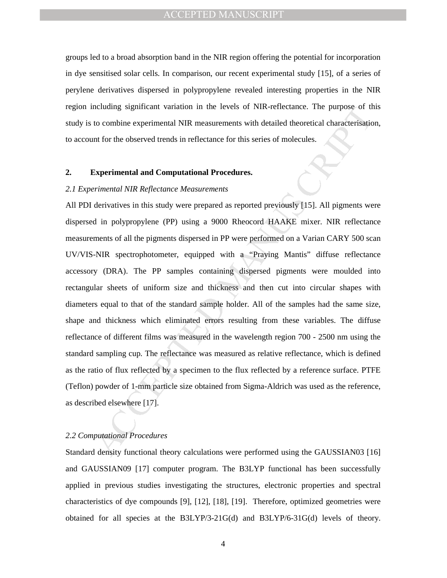groups led to a broad absorption band in the NIR region offering the potential for incorporation in dye sensitised solar cells. In comparison, our recent experimental study [15], of a series of perylene derivatives dispersed in polypropylene revealed interesting properties in the NIR region including significant variation in the levels of NIR-reflectance. The purpose of this study is to combine experimental NIR measurements with detailed theoretical characterisation, to account for the observed trends in reflectance for this series of molecules.

#### **2. Experimental and Computational Procedures.**

#### *2.1 Experimental NIR Reflectance Measurements*

ncluding significant variation in the levels of NR-reflectance. The purpose of the combine experimental NR measurements with detailed theoretical characterisation for the observed rends in reflectance for this series of m All PDI derivatives in this study were prepared as reported previously [15]. All pigments were dispersed in polypropylene (PP) using a 9000 Rheocord HAAKE mixer. NIR reflectance measurements of all the pigments dispersed in PP were performed on a Varian CARY 500 scan UV/VIS-NIR spectrophotometer, equipped with a "Praying Mantis" diffuse reflectance accessory (DRA). The PP samples containing dispersed pigments were moulded into rectangular sheets of uniform size and thickness and then cut into circular shapes with diameters equal to that of the standard sample holder. All of the samples had the same size, shape and thickness which eliminated errors resulting from these variables. The diffuse reflectance of different films was measured in the wavelength region 700 - 2500 nm using the standard sampling cup. The reflectance was measured as relative reflectance, which is defined as the ratio of flux reflected by a specimen to the flux reflected by a reference surface. PTFE (Teflon) powder of 1-mm particle size obtained from Sigma-Aldrich was used as the reference, as described elsewhere [17].

#### *2.2 Computational Procedures*

Standard density functional theory calculations were performed using the GAUSSIAN03 [16] and GAUSSIAN09 [17] computer program. The B3LYP functional has been successfully applied in previous studies investigating the structures, electronic properties and spectral characteristics of dye compounds [9], [12], [18], [19]. Therefore, optimized geometries were obtained for all species at the B3LYP/3-21G(d) and B3LYP/6-31G(d) levels of theory.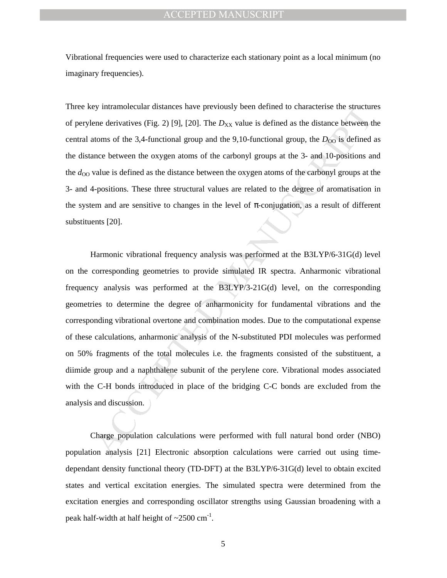Vibrational frequencies were used to characterize each stationary point as a local minimum (no imaginary frequencies).

Three key intramolecular distances have previously been defined to characterise the structures of perylene derivatives (Fig. 2) [9], [20]. The  $D_{XX}$  value is defined as the distance between the central atoms of the 3,4-functional group and the 9,10-functional group, the  $D_{OO}$  is defined as the distance between the oxygen atoms of the carbonyl groups at the 3- and 10-positions and the  $d_{\rm OO}$  value is defined as the distance between the oxygen atoms of the carbonyl groups at the 3- and 4-positions. These three structural values are related to the degree of aromatisation in the system and are sensitive to changes in the level of  $\pi$ -conjugation, as a result of different substituents [20].

by inframolecular distinces have previously been defined to characterise the structure<br>ene derivatives (Fig. 2) [9], [20]. The  $D_{XX}$  value is defined as the distance between the<br>toms of the 3,4-functional group and the 9 Harmonic vibrational frequency analysis was performed at the B3LYP/6-31G(d) level on the corresponding geometries to provide simulated IR spectra. Anharmonic vibrational frequency analysis was performed at the B3LYP/3-21G(d) level, on the corresponding geometries to determine the degree of anharmonicity for fundamental vibrations and the corresponding vibrational overtone and combination modes. Due to the computational expense of these calculations, anharmonic analysis of the N-substituted PDI molecules was performed on 50% fragments of the total molecules i.e. the fragments consisted of the substituent, a diimide group and a naphthalene subunit of the perylene core. Vibrational modes associated with the C-H bonds introduced in place of the bridging C-C bonds are excluded from the analysis and discussion.

 Charge population calculations were performed with full natural bond order (NBO) population analysis [21] Electronic absorption calculations were carried out using timedependant density functional theory (TD-DFT) at the B3LYP/6-31G(d) level to obtain excited states and vertical excitation energies. The simulated spectra were determined from the excitation energies and corresponding oscillator strengths using Gaussian broadening with a peak half-width at half height of  $\sim$ 2500 cm<sup>-1</sup>.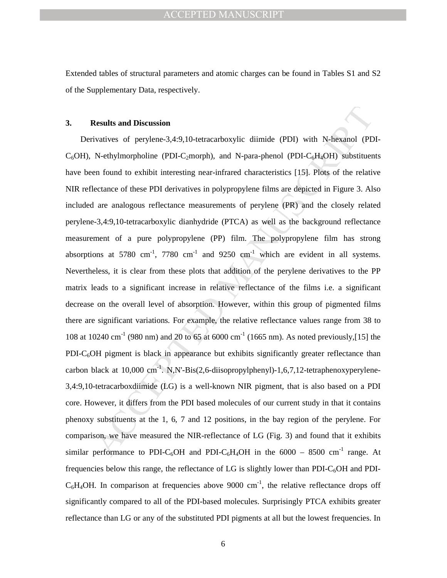Extended tables of structural parameters and atomic charges can be found in Tables S1 and S2 of the Supplementary Data, respectively.

#### **3. Results and Discussion**

**Results and Discussion**<br>
ivatives of perylene-3,4:9,10-tetracarboxylic diimide (PDI) with N-hexanol (PD<br>
N-ethylmorpholine (PDI-C<sub>2</sub>morph), and N-para-phenol (PDI-C<sub>6</sub>H<sub>4</sub>OH) substitues<br>
nc found to exhibit interesting n Derivatives of perylene-3,4:9,10-tetracarboxylic diimide (PDI) with N-hexanol (PDI- $C_6OH$ ), N-ethylmorpholine (PDI-C<sub>2</sub>morph), and N-para-phenol (PDI-C<sub>6</sub>H<sub>4</sub>OH) substituents have been found to exhibit interesting near-infrared characteristics [15]. Plots of the relative NIR reflectance of these PDI derivatives in polypropylene films are depicted in Figure 3. Also included are analogous reflectance measurements of perylene (PR) and the closely related perylene-3,4:9,10-tetracarboxylic dianhydride (PTCA) as well as the background reflectance measurement of a pure polypropylene (PP) film. The polypropylene film has strong absorptions at 5780 cm<sup>-1</sup>, 7780 cm<sup>-1</sup> and 9250 cm<sup>-1</sup> which are evident in all systems. Nevertheless, it is clear from these plots that addition of the perylene derivatives to the PP matrix leads to a significant increase in relative reflectance of the films i.e. a significant decrease on the overall level of absorption. However, within this group of pigmented films there are significant variations. For example, the relative reflectance values range from 38 to 108 at 10240 cm<sup>-1</sup> (980 nm) and 20 to 65 at 6000 cm<sup>-1</sup> (1665 nm). As noted previously, [15] the PDI- $C_6$ OH pigment is black in appearance but exhibits significantly greater reflectance than carbon black at  $10,000 \text{ cm}^{-1}$ . N,N'-Bis(2,6-diisopropylphenyl)-1,6,7,12-tetraphenoxyperylene-3,4:9,10-tetracarboxdiimide (LG) is a well-known NIR pigment, that is also based on a PDI core. However, it differs from the PDI based molecules of our current study in that it contains phenoxy substituents at the 1, 6, 7 and 12 positions, in the bay region of the perylene. For comparison, we have measured the NIR-reflectance of LG (Fig. 3) and found that it exhibits similar performance to PDI-C<sub>6</sub>OH and PDI-C<sub>6</sub>H<sub>4</sub>OH in the 6000 – 8500 cm<sup>-1</sup> range. At frequencies below this range, the reflectance of LG is slightly lower than PDI- $C_6OH$  and PDI- $C_6H_4$ OH. In comparison at frequencies above 9000 cm<sup>-1</sup>, the relative reflectance drops off significantly compared to all of the PDI-based molecules. Surprisingly PTCA exhibits greater reflectance than LG or any of the substituted PDI pigments at all but the lowest frequencies. In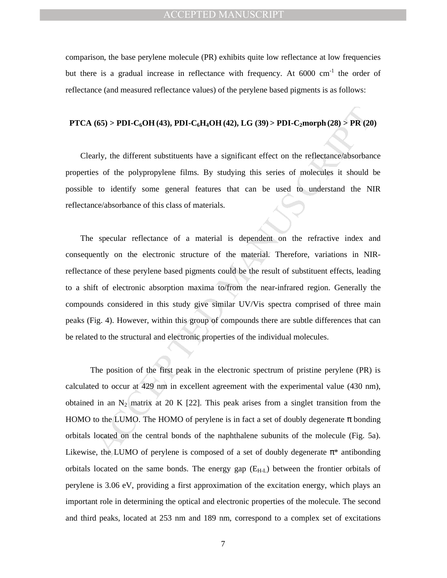comparison, the base perylene molecule (PR) exhibits quite low reflectance at low frequencies but there is a gradual increase in reflectance with frequency. At 6000 cm<sup>-1</sup> the order of reflectance (and measured reflectance values) of the perylene based pigments is as follows:

#### **PTCA (65) > PDI-C6OH (43), PDI-C6H4OH (42), LG (39) > PDI-C2morph (28) > PR (20)**

Clearly, the different substituents have a significant effect on the reflectance/absorbance properties of the polypropylene films. By studying this series of molecules it should be possible to identify some general features that can be used to understand the NIR reflectance/absorbance of this class of materials.

(65) > PDI-C<sub>6</sub>OH (43), PDI-C<sub>6</sub>H<sub>4</sub>OH (42), LG (39) > PDI-C<sub>2</sub>morph (28) > PR (20<br>arly, the different substituents have a significant effect on the reflectance/absorband<br>arly, the different substituents have a significan The specular reflectance of a material is dependent on the refractive index and consequently on the electronic structure of the material. Therefore, variations in NIRreflectance of these perylene based pigments could be the result of substituent effects, leading to a shift of electronic absorption maxima to/from the near-infrared region. Generally the compounds considered in this study give similar UV/Vis spectra comprised of three main peaks (Fig. 4). However, within this group of compounds there are subtle differences that can be related to the structural and electronic properties of the individual molecules.

The position of the first peak in the electronic spectrum of pristine perylene (PR) is calculated to occur at 429 nm in excellent agreement with the experimental value (430 nm), obtained in an  $N_2$  matrix at 20 K [22]. This peak arises from a singlet transition from the HOMO to the LUMO. The HOMO of perylene is in fact a set of doubly degenerate  $\pi$  bonding orbitals located on the central bonds of the naphthalene subunits of the molecule (Fig. 5a). Likewise, the LUMO of perylene is composed of a set of doubly degenerate  $\pi^*$  antibonding orbitals located on the same bonds. The energy gap  $(E_{H-L})$  between the frontier orbitals of perylene is 3.06 eV, providing a first approximation of the excitation energy, which plays an important role in determining the optical and electronic properties of the molecule. The second and third peaks, located at 253 nm and 189 nm, correspond to a complex set of excitations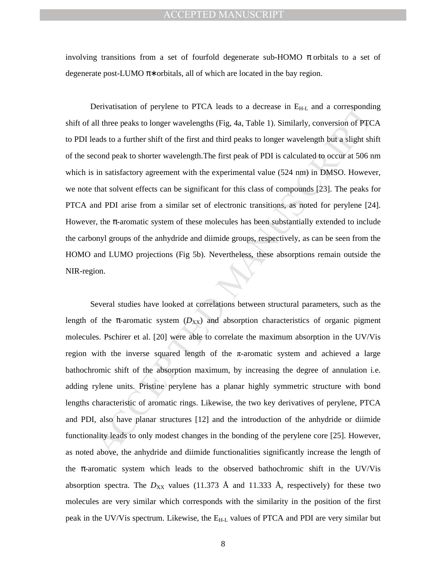involving transitions from a set of fourfold degenerate sub-HOMO  $\pi$  orbitals to a set of degenerate post-LUMO  $\pi^*$  orbitals, all of which are located in the bay region.

Derivatisation of perylene to PICA leads to a decrease in  $E_{H-L}$  and a correspondinal<br>liftnec peaks to longer wavelengths (Fig. 4a. Table 1). Similarly, conversion of PIC<br>eads to a further shift of the first and third pe Derivatisation of perylene to PTCA leads to a decrease in  $E_{H-L}$  and a corresponding shift of all three peaks to longer wavelengths (Fig, 4a, Table 1). Similarly, conversion of PTCA to PDI leads to a further shift of the first and third peaks to longer wavelength but a slight shift of the second peak to shorter wavelength.The first peak of PDI is calculated to occur at 506 nm which is in satisfactory agreement with the experimental value (524 nm) in DMSO. However, we note that solvent effects can be significant for this class of compounds [23]. The peaks for PTCA and PDI arise from a similar set of electronic transitions, as noted for perylene [24]. However, the  $\pi$ -aromatic system of these molecules has been substantially extended to include the carbonyl groups of the anhydride and diimide groups, respectively, as can be seen from the HOMO and LUMO projections (Fig 5b). Nevertheless, these absorptions remain outside the NIR-region.

 Several studies have looked at correlations between structural parameters, such as the length of the  $\pi$ -aromatic system ( $D_{XX}$ ) and absorption characteristics of organic pigment molecules. Pschirer et al. [20] were able to correlate the maximum absorption in the UV/Vis region with the inverse squared length of the  $\pi$ -aromatic system and achieved a large bathochromic shift of the absorption maximum, by increasing the degree of annulation i.e. adding rylene units. Pristine perylene has a planar highly symmetric structure with bond lengths characteristic of aromatic rings. Likewise, the two key derivatives of perylene, PTCA and PDI, also have planar structures [12] and the introduction of the anhydride or diimide functionality leads to only modest changes in the bonding of the perylene core [25]. However, as noted above, the anhydride and diimide functionalities significantly increase the length of the  $\pi$ -aromatic system which leads to the observed bathochromic shift in the UV/Vis absorption spectra. The  $D_{XX}$  values (11.373 Å and 11.333 Å, respectively) for these two molecules are very similar which corresponds with the similarity in the position of the first peak in the UV/V is spectrum. Likewise, the  $E_{H-L}$  values of PTCA and PDI are very similar but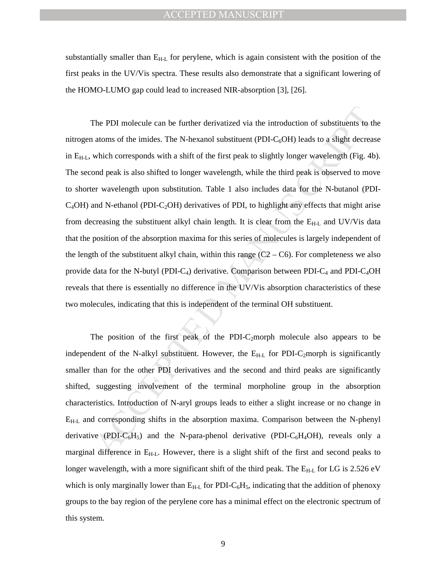substantially smaller than  $E_{H-L}$  for perylene, which is again consistent with the position of the first peaks in the UV/Vis spectra. These results also demonstrate that a significant lowering of the HOMO-LUMO gap could lead to increased NIR-absorption [3], [26].

The PDI molecule can be further derivatized via the introduction of substituents to the<br>atoms of the imides. The N-hexanol substituent (PDI-C<sub>o</sub>OH) leads to a slight decrea<br>which corresponds with a shift of the first peak The PDI molecule can be further derivatized via the introduction of substituents to the nitrogen atoms of the imides. The N-hexanol substituent (PDI- $C_6OH$ ) leads to a slight decrease in  $E_{H-L}$ , which corresponds with a shift of the first peak to slightly longer wavelength (Fig. 4b). The second peak is also shifted to longer wavelength, while the third peak is observed to move to shorter wavelength upon substitution. Table 1 also includes data for the N-butanol (PDI- $C_4$ OH) and N-ethanol (PDI-C<sub>2</sub>OH) derivatives of PDI, to highlight any effects that might arise from decreasing the substituent alkyl chain length. It is clear from the  $E_{H-L}$  and UV/Vis data that the position of the absorption maxima for this series of molecules is largely independent of the length of the substituent alkyl chain, within this range  $(C2 - C6)$ . For completeness we also provide data for the N-butyl (PDI-C<sub>4</sub>) derivative. Comparison between PDI-C<sub>4</sub> and PDI-C<sub>4</sub>OH reveals that there is essentially no difference in the UV/Vis absorption characteristics of these two molecules, indicating that this is independent of the terminal OH substituent.

The position of the first peak of the PDI-C<sub>2</sub>morph molecule also appears to be independent of the N-alkyl substituent. However, the  $E_{H-L}$  for PDI-C<sub>2</sub>morph is significantly smaller than for the other PDI derivatives and the second and third peaks are significantly shifted, suggesting involvement of the terminal morpholine group in the absorption characteristics. Introduction of N-aryl groups leads to either a slight increase or no change in  $E_{H-L}$  and corresponding shifts in the absorption maxima. Comparison between the N-phenyl derivative (PDI-C<sub>6</sub>H<sub>5</sub>) and the N-para-phenol derivative (PDI-C<sub>6</sub>H<sub>4</sub>OH), reveals only a marginal difference in  $E_{H-L}$ . However, there is a slight shift of the first and second peaks to longer wavelength, with a more significant shift of the third peak. The  $E_{H-L}$  for LG is 2.526 eV which is only marginally lower than  $E_{H-L}$  for PDI-C<sub>6</sub>H<sub>5</sub>, indicating that the addition of phenoxy groups to the bay region of the perylene core has a minimal effect on the electronic spectrum of this system.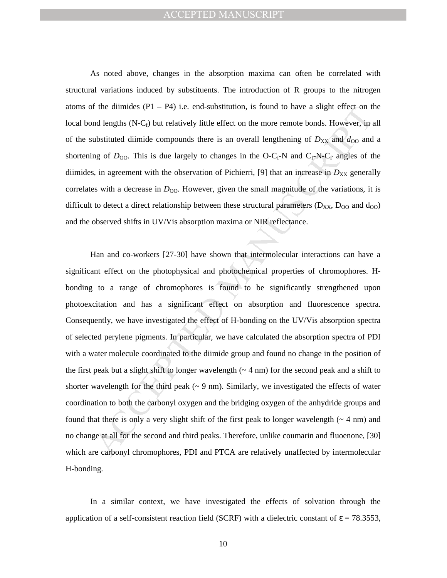As noted above, changes in the absorption maxima can often be correlated with structural variations induced by substituents. The introduction of R groups to the nitrogen atoms of the diimides  $(P1 - P4)$  i.e. end-substitution, is found to have a slight effect on the local bond lengths  $(N-C_f)$  but relatively little effect on the more remote bonds. However, in all of the substituted diimide compounds there is an overall lengthening of  $D_{XX}$  and  $d_{OO}$  and a shortening of  $D_{OO}$ . This is due largely to changes in the O-C<sub>f</sub>-N and C<sub>f</sub>-N-C<sub>f</sub>' angles of the diimides, in agreement with the observation of Pichierri, [9] that an increase in  $D_{XX}$  generally correlates with a decrease in  $D_{\text{OO}}$ . However, given the small magnitude of the variations, it is difficult to detect a direct relationship between these structural parameters ( $D_{XX}$ ,  $D_{OO}$  and  $d_{OO}$ ) and the observed shifts in UV/Vis absorption maxima or NIR reflectance.

t the dimides (P1 - P4) i.e. end-substitution, is found to have a slight effect on the diengths (N-C<sub>t</sub>) but relatively little effect on the more remote bonds. However, in a ubstituted dimide compounds there is an overall Han and co-workers [27-30] have shown that intermolecular interactions can have a significant effect on the photophysical and photochemical properties of chromophores. Hbonding to a range of chromophores is found to be significantly strengthened upon photoexcitation and has a significant effect on absorption and fluorescence spectra. Consequently, we have investigated the effect of H-bonding on the UV/Vis absorption spectra of selected perylene pigments. In particular, we have calculated the absorption spectra of PDI with a water molecule coordinated to the diimide group and found no change in the position of the first peak but a slight shift to longer wavelength  $($   $\sim$  4 nm) for the second peak and a shift to shorter wavelength for the third peak  $( \sim 9 \text{ nm})$ . Similarly, we investigated the effects of water coordination to both the carbonyl oxygen and the bridging oxygen of the anhydride groups and found that there is only a very slight shift of the first peak to longer wavelength  $($   $\sim$  4 nm) and no change at all for the second and third peaks. Therefore, unlike coumarin and fluoenone, [30] which are carbonyl chromophores, PDI and PTCA are relatively unaffected by intermolecular H-bonding.

In a similar context, we have investigated the effects of solvation through the application of a self-consistent reaction field (SCRF) with a dielectric constant of  $\epsilon = 78.3553$ ,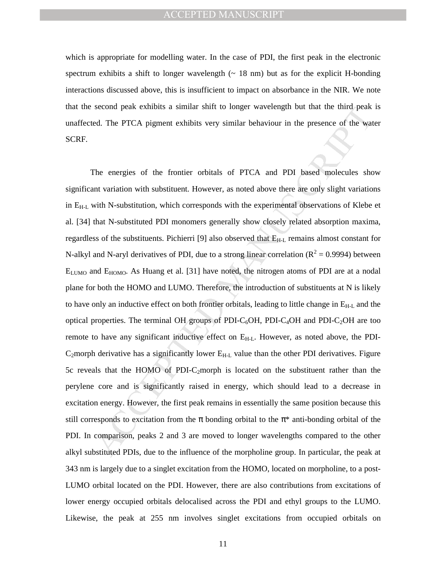which is appropriate for modelling water. In the case of PDI, the first peak in the electronic spectrum exhibits a shift to longer wavelength  $($   $\sim$  18 nm) but as for the explicit H-bonding interactions discussed above, this is insufficient to impact on absorbance in the NIR. We note that the second peak exhibits a similar shift to longer wavelength but that the third peak is unaffected. The PTCA pigment exhibits very similar behaviour in the presence of the water SCRF.

second peak exhibits a similar shift to longer wavelength but that the third peak<br>ed. The PTCA pigment exhibits very similar behaviour in the presence of the wat<br>ed. The PTCA pigment exhibits very similar behaviour in the The energies of the frontier orbitals of PTCA and PDI based molecules show significant variation with substituent. However, as noted above there are only slight variations in  $E_{H-L}$  with N-substitution, which corresponds with the experimental observations of Klebe et al. [34] that N-substituted PDI monomers generally show closely related absorption maxima, regardless of the substituents. Pichierri [9] also observed that  $E_{H-L}$  remains almost constant for N-alkyl and N-aryl derivatives of PDI, due to a strong linear correlation ( $R^2 = 0.9994$ ) between  $E_{LUMO}$  and  $E_{HOMO}$ . As Huang et al. [31] have noted, the nitrogen atoms of PDI are at a nodal plane for both the HOMO and LUMO. Therefore, the introduction of substituents at N is likely to have only an inductive effect on both frontier orbitals, leading to little change in E<sub>H-L</sub> and the optical properties. The terminal OH groups of PDI-C<sub>6</sub>OH, PDI-C<sub>4</sub>OH and PDI-C<sub>2</sub>OH are too remote to have any significant inductive effect on  $E_{H-L}$ . However, as noted above, the PDI- $C_2$ morph derivative has a significantly lower  $E_{H-L}$  value than the other PDI derivatives. Figure 5c reveals that the HOMO of PDI-C<sub>2</sub>morph is located on the substituent rather than the perylene core and is significantly raised in energy, which should lead to a decrease in excitation energy. However, the first peak remains in essentially the same position because this still corresponds to excitation from the  $\pi$  bonding orbital to the  $\pi^*$  anti-bonding orbital of the PDI. In comparison, peaks 2 and 3 are moved to longer wavelengths compared to the other alkyl substituted PDIs, due to the influence of the morpholine group. In particular, the peak at 343 nm is largely due to a singlet excitation from the HOMO, located on morpholine, to a post-LUMO orbital located on the PDI. However, there are also contributions from excitations of lower energy occupied orbitals delocalised across the PDI and ethyl groups to the LUMO. Likewise, the peak at 255 nm involves singlet excitations from occupied orbitals on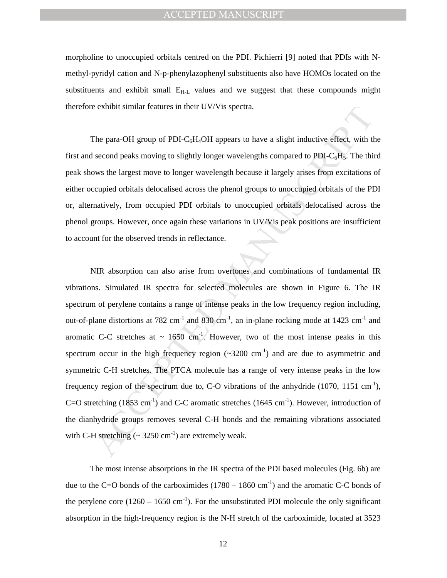morpholine to unoccupied orbitals centred on the PDI. Pichierri [9] noted that PDIs with Nmethyl-pyridyl cation and N-p-phenylazophenyl substituents also have HOMOs located on the substituents and exhibit small  $E_{H-L}$  values and we suggest that these compounds might therefore exhibit similar features in their UV/Vis spectra.

The para-OH group of PDI- $C_6H_4OH$  appears to have a slight inductive effect, with the first and second peaks moving to slightly longer wavelengths compared to PDI- $C_6H_5$ . The third peak shows the largest move to longer wavelength because it largely arises from excitations of either occupied orbitals delocalised across the phenol groups to unoccupied orbitals of the PDI or, alternatively, from occupied PDI orbitals to unoccupied orbitals delocalised across the phenol groups. However, once again these variations in UV/Vis peak positions are insufficient to account for the observed trends in reflectance.

exhibit similar features in their UV/V is spectra.<br>
The para-OH group of PDI-C<sub>o</sub>H<sub>4</sub>OH appears to have a slight inductive effect, with the second peaks moving to slightly longer wavelengths compared to PDI-C<sub>o</sub>H<sub>5</sub>. The NIR absorption can also arise from overtones and combinations of fundamental IR vibrations. Simulated IR spectra for selected molecules are shown in Figure 6. The IR spectrum of perylene contains a range of intense peaks in the low frequency region including, out-of-plane distortions at 782 cm<sup>-1</sup> and 830 cm<sup>-1</sup>, an in-plane rocking mode at 1423 cm<sup>-1</sup> and aromatic C-C stretches at  $\sim 1650$  cm<sup>-1</sup>. However, two of the most intense peaks in this spectrum occur in the high frequency region  $(\sim 3200 \text{ cm}^{-1})$  and are due to asymmetric and symmetric C-H stretches. The PTCA molecule has a range of very intense peaks in the low frequency region of the spectrum due to, C-O vibrations of the anhydride (1070, 1151 cm<sup>-1</sup>), C=O stretching  $(1853 \text{ cm}^{-1})$  and C-C aromatic stretches  $(1645 \text{ cm}^{-1})$ . However, introduction of the dianhydride groups removes several C-H bonds and the remaining vibrations associated with C-H stretching  $(\sim 3250 \text{ cm}^{-1})$  are extremely weak.

The most intense absorptions in the IR spectra of the PDI based molecules (Fig. 6b) are due to the C=O bonds of the carboximides  $(1780 - 1860 \text{ cm}^{-1})$  and the aromatic C-C bonds of the perylene core (1260 – 1650 cm<sup>-1</sup>). For the unsubstituted PDI molecule the only significant absorption in the high-frequency region is the N-H stretch of the carboximide, located at 3523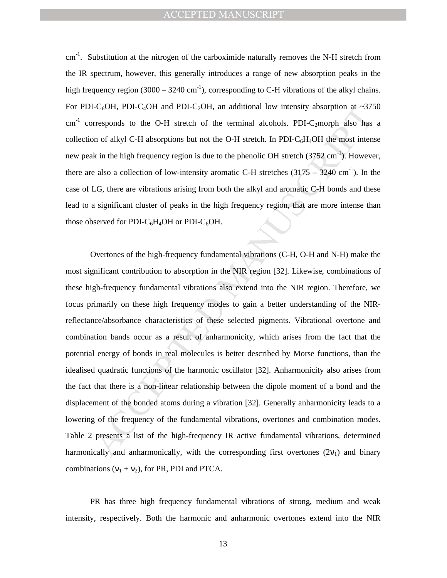$cm<sup>-1</sup>$ . Substitution at the nitrogen of the carboximide naturally removes the N-H stretch from the IR spectrum, however, this generally introduces a range of new absorption peaks in the high frequency region (3000 – 3240 cm<sup>-1</sup>), corresponding to C-H vibrations of the alkyl chains. For PDI-C<sub>6</sub>OH, PDI-C<sub>4</sub>OH and PDI-C<sub>2</sub>OH, an additional low intensity absorption at ~3750  $cm<sup>-1</sup>$  corresponds to the O-H stretch of the terminal alcohols. PDI-C<sub>2</sub>morph also has a collection of alkyl C-H absorptions but not the O-H stretch. In PDI-C $_6H_4OH$  the most intense new peak in the high frequency region is due to the phenolic OH stretch  $(3752 \text{ cm}^{-1})$ . However, there are also a collection of low-intensity aromatic C-H stretches  $(3175 - 3240 \text{ cm}^{-1})$ . In the case of LG, there are vibrations arising from both the alkyl and aromatic C-H bonds and these lead to a significant cluster of peaks in the high frequency region, that are more intense than those observed for PDI- $C_6H_4OH$  or PDI- $C_6OH$ .

-C<sub>6</sub>OH, PDI-C<sub>4</sub>OH and PDI-C<sub>2</sub>OH, an additional low intensity absorption at  $-372$ <br>rresponds to the O-H stretch of the terminal alcohols. PDI-C<sub>2</sub>morph also has<br>on of alkyl C-H absorptions but not the O-H stretch. In PD Overtones of the high-frequency fundamental vibrations (C-H, O-H and N-H) make the most significant contribution to absorption in the NIR region [32]. Likewise, combinations of these high-frequency fundamental vibrations also extend into the NIR region. Therefore, we focus primarily on these high frequency modes to gain a better understanding of the NIRreflectance/absorbance characteristics of these selected pigments. Vibrational overtone and combination bands occur as a result of anharmonicity, which arises from the fact that the potential energy of bonds in real molecules is better described by Morse functions, than the idealised quadratic functions of the harmonic oscillator [32]. Anharmonicity also arises from the fact that there is a non-linear relationship between the dipole moment of a bond and the displacement of the bonded atoms during a vibration [32]. Generally anharmonicity leads to a lowering of the frequency of the fundamental vibrations, overtones and combination modes. Table 2 presents a list of the high-frequency IR active fundamental vibrations, determined harmonically and anharmonically, with the corresponding first overtones  $(2v_1)$  and binary combinations  $(v_1 + v_2)$ , for PR, PDI and PTCA.

PR has three high frequency fundamental vibrations of strong, medium and weak intensity, respectively. Both the harmonic and anharmonic overtones extend into the NIR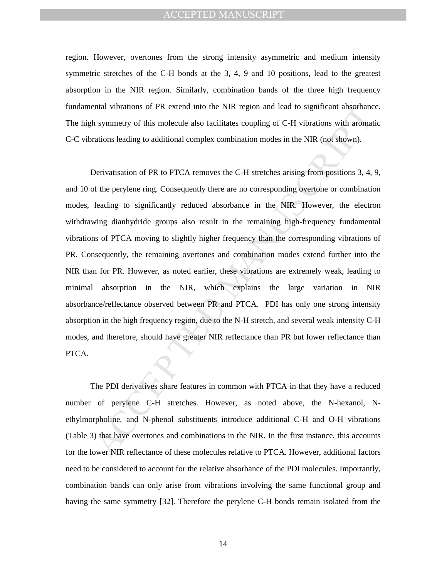region. However, overtones from the strong intensity asymmetric and medium intensity symmetric stretches of the C-H bonds at the 3, 4, 9 and 10 positions, lead to the greatest absorption in the NIR region. Similarly, combination bands of the three high frequency fundamental vibrations of PR extend into the NIR region and lead to significant absorbance. The high symmetry of this molecule also facilitates coupling of C-H vibrations with aromatic C-C vibrations leading to additional complex combination modes in the NIR (not shown).

Antal vibrations of PR exterd into the NIR region and lead to significant absorbance<br>h symmetry of this molecule also facilitates coupling of C-H vibrations with aromat<br>rations leading to additional complex combination mo Derivatisation of PR to PTCA removes the C-H stretches arising from positions 3, 4, 9, and 10 of the perylene ring. Consequently there are no corresponding overtone or combination modes, leading to significantly reduced absorbance in the NIR. However, the electron withdrawing dianhydride groups also result in the remaining high-frequency fundamental vibrations of PTCA moving to slightly higher frequency than the corresponding vibrations of PR. Consequently, the remaining overtones and combination modes extend further into the NIR than for PR. However, as noted earlier, these vibrations are extremely weak, leading to minimal absorption in the NIR, which explains the large variation in NIR absorbance/reflectance observed between PR and PTCA. PDI has only one strong intensity absorption in the high frequency region, due to the N-H stretch, and several weak intensity C-H modes, and therefore, should have greater NIR reflectance than PR but lower reflectance than PTCA.

The PDI derivatives share features in common with PTCA in that they have a reduced number of perylene C-H stretches. However, as noted above, the N-hexanol, Nethylmorpholine, and N-phenol substituents introduce additional C-H and O-H vibrations (Table 3) that have overtones and combinations in the NIR. In the first instance, this accounts for the lower NIR reflectance of these molecules relative to PTCA. However, additional factors need to be considered to account for the relative absorbance of the PDI molecules. Importantly, combination bands can only arise from vibrations involving the same functional group and having the same symmetry [32]. Therefore the perylene C-H bonds remain isolated from the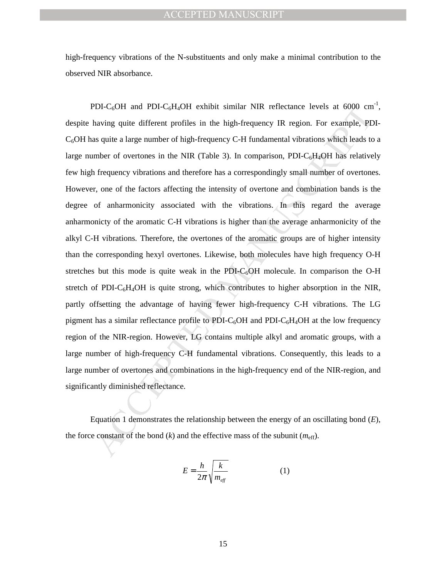high-frequency vibrations of the N-substituents and only make a minimal contribution to the observed NIR absorbance.

PDI-C<sub>6</sub>OH and PDI-C<sub>6</sub>H<sub>4</sub>OH exhibit similar NIR reflectance levels at 6000 cm<br>having quite different profiles in the high-frequency IR region. For example, PD<br>as quite a large number of high-frequency C-H fundamental vi PDI-C<sub>6</sub>OH and PDI-C<sub>6</sub>H<sub>4</sub>OH exhibit similar NIR reflectance levels at 6000 cm<sup>-1</sup>, despite having quite different profiles in the high-frequency IR region. For example, PDI- $C_6$ OH has quite a large number of high-frequency C-H fundamental vibrations which leads to a large number of overtones in the NIR (Table 3). In comparison,  $PDI-C<sub>6</sub>H<sub>4</sub>OH$  has relatively few high frequency vibrations and therefore has a correspondingly small number of overtones. However, one of the factors affecting the intensity of overtone and combination bands is the degree of anharmonicity associated with the vibrations. In this regard the average anharmonicty of the aromatic C-H vibrations is higher than the average anharmonicity of the alkyl C-H vibrations. Therefore, the overtones of the aromatic groups are of higher intensity than the corresponding hexyl overtones. Likewise, both molecules have high frequency O-H stretches but this mode is quite weak in the PDI- $C_6$ OH molecule. In comparison the O-H stretch of PDI- $C_6H_4OH$  is quite strong, which contributes to higher absorption in the NIR, partly offsetting the advantage of having fewer high-frequency C-H vibrations. The LG pigment has a similar reflectance profile to PDI-C<sub>6</sub>OH and PDI-C<sub>6</sub>H<sub>4</sub>OH at the low frequency region of the NIR-region. However, LG contains multiple alkyl and aromatic groups, with a large number of high-frequency C-H fundamental vibrations. Consequently, this leads to a large number of overtones and combinations in the high-frequency end of the NIR-region, and significantly diminished reflectance.

Equation 1 demonstrates the relationship between the energy of an oscillating bond (*E*), the force constant of the bond  $(k)$  and the effective mass of the subunit  $(m_{\text{eff}})$ .

$$
E = \frac{h}{2\pi} \sqrt{\frac{k}{m_{\text{eff}}}}
$$
 (1)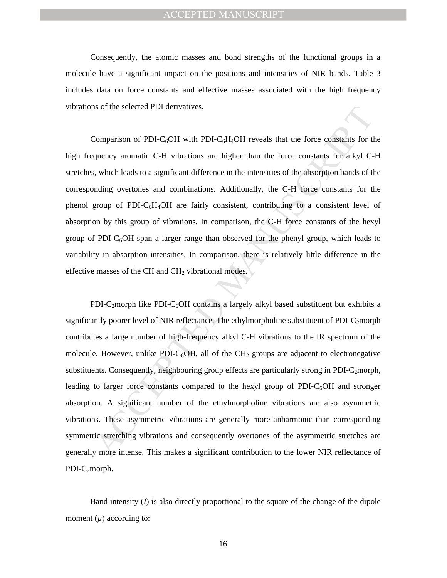Consequently, the atomic masses and bond strengths of the functional groups in a molecule have a significant impact on the positions and intensities of NIR bands. Table 3 includes data on force constants and effective masses associated with the high frequency vibrations of the selected PDI derivatives.

Comparison of PDI-C<sub>6</sub>OH with PDI-C<sub>6</sub>H<sub>4</sub>OH reveals that the force constants for the high frequency aromatic C-H vibrations are higher than the force constants for alkyl C-H stretches, which leads to a significant difference in the intensities of the absorption bands of the corresponding overtones and combinations. Additionally, the C-H force constants for the phenol group of PDI-C $_6H_4OH$  are fairly consistent, contributing to a consistent level of absorption by this group of vibrations. In comparison, the C-H force constants of the hexyl group of PDI-C<sub>6</sub>OH span a larger range than observed for the phenyl group, which leads to variability in absorption intensities. In comparison, there is relatively little difference in the effective masses of the CH and CH<sub>2</sub> vibrational modes.

Comparison of PDI-C<sub>o</sub>OH with PDI-C<sub>o</sub>H<sub>1</sub>OH reveals that the force constants for the comparison of PDI-C<sub>o</sub>OH with PDI-C<sub>o</sub>H<sub>1</sub>OH reveals that the force constants for alkyl C<sub>-</sub><br>s, which leads to a significant difference PDI-C<sub>2</sub>morph like PDI-C<sub>6</sub>OH contains a largely alkyl based substituent but exhibits a significantly poorer level of NIR reflectance. The ethylmorpholine substituent of PDI-C<sub>2</sub>morph contributes a large number of high-frequency alkyl C-H vibrations to the IR spectrum of the molecule. However, unlike PDI-C<sub>6</sub>OH, all of the CH<sub>2</sub> groups are adjacent to electronegative substituents. Consequently, neighbouring group effects are particularly strong in PDI-C<sub>2</sub>morph, leading to larger force constants compared to the hexyl group of  $PDI-C<sub>6</sub>OH$  and stronger absorption. A significant number of the ethylmorpholine vibrations are also asymmetric vibrations. These asymmetric vibrations are generally more anharmonic than corresponding symmetric stretching vibrations and consequently overtones of the asymmetric stretches are generally more intense. This makes a significant contribution to the lower NIR reflectance of PDI-C<sub>2</sub>morph.

Band intensity (*I*) is also directly proportional to the square of the change of the dipole moment  $(\mu)$  according to: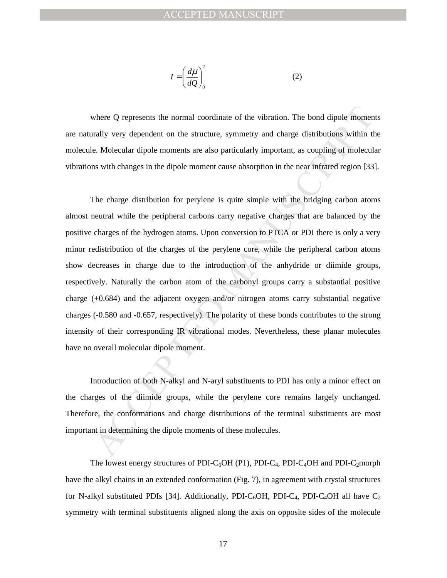$$
I = \left(\frac{d\mu}{dQ}\right)_0^2\tag{2}
$$

where Q represents the normal coordinate of the vibration. The bond dipole moments are naturally very dependent on the structure, symmetry and charge distributions within the molecule. Molecular dipole moments are also particularly important, as coupling of molecular vibrations with changes in the dipole moment cause absorption in the near infrared region [33].

where Q represents the normal coordinate of the vibration. The bond dipole momentally very dependent on the structure, symmetry and charge distributions within the. Molecular dipole moments are also particularly important, The charge distribution for perylene is quite simple with the bridging carbon atoms almost neutral while the peripheral carbons carry negative charges that are balanced by the positive charges of the hydrogen atoms. Upon conversion to PTCA or PDI there is only a very minor redistribution of the charges of the perylene core, while the peripheral carbon atoms show decreases in charge due to the introduction of the anhydride or diimide groups, respectively. Naturally the carbon atom of the carbonyl groups carry a substantial positive charge  $(+0.684)$  and the adjacent oxygen and/or nitrogen atoms carry substantial negative charges (-0.580 and -0.657, respectively). The polarity of these bonds contributes to the strong intensity of their corresponding IR vibrational modes. Nevertheless, these planar molecules have no overall molecular dipole moment.

Introduction of both N-alkyl and N-aryl substituents to PDI has only a minor effect on the charges of the diimide groups, while the perylene core remains largely unchanged. Therefore, the conformations and charge distributions of the terminal substituents are most important in determining the dipole moments of these molecules.

The lowest energy structures of PDI-C<sub>6</sub>OH (P1), PDI-C<sub>4</sub>, PDI-C<sub>4</sub>OH and PDI-C<sub>2</sub>morph have the alkyl chains in an extended conformation (Fig. 7), in agreement with crystal structures for N-alkyl substituted PDIs [34]. Additionally, PDI-C<sub>6</sub>OH, PDI-C<sub>4</sub>, PDI-C<sub>4</sub>OH all have C<sub>2</sub> symmetry with terminal substituents aligned along the axis on opposite sides of the molecule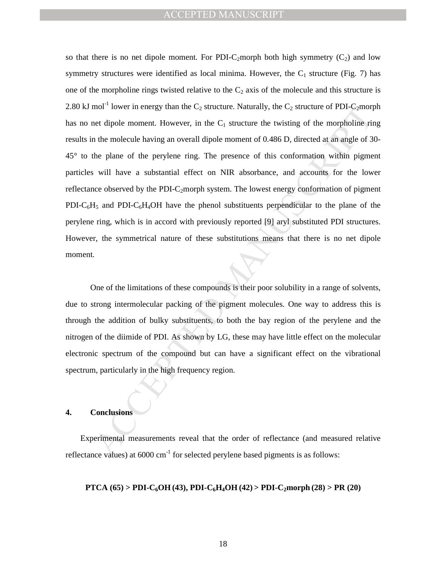mot ' lower in energy than the C<sub>3</sub> structure. Naturally, the C<sub>3</sub> structure of PDI-C<sub>2</sub>morp<br>et dipole moment. However, in the C<sub>1</sub> structure the twisting of the morpholine rin<br>the molecule having an overall dipole moment so that there is no net dipole moment. For PDI-C<sub>2</sub>morph both high symmetry  $(C_2)$  and low symmetry structures were identified as local minima. However, the  $C_1$  structure (Fig. 7) has one of the morpholine rings twisted relative to the  $C_2$  axis of the molecule and this structure is 2.80 kJ mol<sup>-1</sup> lower in energy than the  $C_2$  structure. Naturally, the  $C_2$  structure of PDI-C<sub>2</sub>morph has no net dipole moment. However, in the  $C_1$  structure the twisting of the morpholine ring results in the molecule having an overall dipole moment of 0.486 D, directed at an angle of 30- 45° to the plane of the perylene ring. The presence of this conformation within pigment particles will have a substantial effect on NIR absorbance, and accounts for the lower reflectance observed by the PDI-C<sub>2</sub>morph system. The lowest energy conformation of pigment PDI-C<sub>6</sub>H<sub>5</sub> and PDI-C<sub>6</sub>H<sub>4</sub>OH have the phenol substituents perpendicular to the plane of the perylene ring, which is in accord with previously reported [9] aryl substituted PDI structures. However, the symmetrical nature of these substitutions means that there is no net dipole moment.

One of the limitations of these compounds is their poor solubility in a range of solvents, due to strong intermolecular packing of the pigment molecules. One way to address this is through the addition of bulky substituents, to both the bay region of the perylene and the nitrogen of the diimide of PDI. As shown by LG, these may have little effect on the molecular electronic spectrum of the compound but can have a significant effect on the vibrational spectrum, particularly in the high frequency region.

#### **4. Conclusions**

Experimental measurements reveal that the order of reflectance (and measured relative reflectance values) at  $6000 \text{ cm}^{-1}$  for selected perylene based pigments is as follows:

#### $PTCA (65) > PDI-C<sub>6</sub>OH (43), PDI-C<sub>6</sub>H<sub>4</sub>OH (42) > PDI-C<sub>2</sub>morph (28) > PR (20)$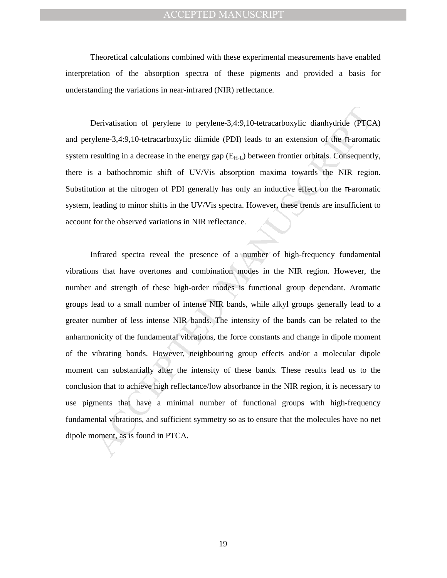Theoretical calculations combined with these experimental measurements have enabled interpretation of the absorption spectra of these pigments and provided a basis for understanding the variations in near-infrared (NIR) reflectance.

Derivatisation of perylene to perylene-3,4:9,10-tetracarboxylic dianhydride (PTCA) and perylene-3,4:9,10-tetracarboxylic diimide (PDI) leads to an extension of the π-aromatic system resulting in a decrease in the energy gap  $(E_{H-L})$  between frontier orbitals. Consequently, there is a bathochromic shift of UV/Vis absorption maxima towards the NIR region. Substitution at the nitrogen of PDI generally has only an inductive effect on the  $\pi$ -aromatic system, leading to minor shifts in the UV/Vis spectra. However, these trends are insufficient to account for the observed variations in NIR reflectance.

Derivatisation of perylene to perylene-3,4:9,10-tetracarboxylic dianhydride (PTC)<br>plene-3,4:9,10-tetracarboxylic diimide (PDI) leads to an extension of the  $\pi$ -aromat<br>esulting in a decrease in the energy gap (E<sub>HL</sub>) betw Infrared spectra reveal the presence of a number of high-frequency fundamental vibrations that have overtones and combination modes in the NIR region. However, the number and strength of these high-order modes is functional group dependant. Aromatic groups lead to a small number of intense NIR bands, while alkyl groups generally lead to a greater number of less intense NIR bands. The intensity of the bands can be related to the anharmonicity of the fundamental vibrations, the force constants and change in dipole moment of the vibrating bonds. However, neighbouring group effects and/or a molecular dipole moment can substantially alter the intensity of these bands. These results lead us to the conclusion that to achieve high reflectance/low absorbance in the NIR region, it is necessary to use pigments that have a minimal number of functional groups with high-frequency fundamental vibrations, and sufficient symmetry so as to ensure that the molecules have no net dipole moment, as is found in PTCA.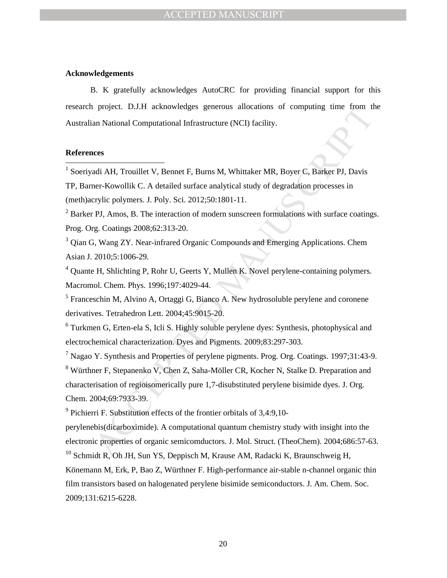#### **Acknowledgements**

B. K gratefully acknowledges AutoCRC for providing financial support for this research project. D.J.H acknowledges generous allocations of computing time from the Australian National Computational Infrastructure (NCI) facility.

#### **References**

-

<sup>1</sup> Soeriyadi AH, Trouillet V, Bennet F, Burns M, Whittaker MR, Boyer C, Barker PJ, Davis

TP, Barner-Kowollik C. A detailed surface analytical study of degradation processes in (meth)acrylic polymers. J. Poly. Sci. 2012;50:1801-11.

 $2^2$  Barker PJ, Amos, B. The interaction of modern sunscreen formulations with surface coatings. Prog. Org. Coatings 2008;62:313-20.

<sup>3</sup> Qian G, Wang ZY. Near-infrared Organic Compounds and Emerging Applications. Chem Asian J. 2010;5:1006-29.

<sup>4</sup> Quante H, Shlichting P, Rohr U, Geerts Y, Mullen K. Novel perylene-containing polymers. Macromol. Chem. Phys. 1996;197:4029-44.

<sup>5</sup> Franceschin M, Alvino A, Ortaggi G, Bianco A. New hydrosoluble perylene and coronene derivatives. Tetrahedron Lett. 2004;45:9015-20.

<sup>6</sup> Turkmen G, Erten-ela S, Icli S. Highly soluble perylene dyes: Synthesis, photophysical and electrochemical characterization. Dyes and Pigments. 2009;83:297-303.

propert. D.J.H acknowledges generous allocations of computing time from the maxidonal Computational Infrastructure (NCI) facility.<br> **Example 18.1** AH, Trouillet V, Bennet F, Burns M, Whittaker MR, Boyer C, Barker PJ, Davis <sup>7</sup> Nagao Y. Synthesis and Properties of perylene pigments. Prog. Org. Coatings. 1997;31:43-9. <sup>8</sup> Würthner F, Stepanenko V, Chen Z, Saha-Möller CR, Kocher N, Stalke D. Preparation and characterisation of regioisomerically pure 1,7-disubstituted perylene bisimide dyes. J. Org. Chem. 2004;69:7933-39.

<sup>9</sup> Pichierri F. Substitution effects of the frontier orbitals of 3,4:9,10-

perylenebis(dicarboximide). A computational quantum chemistry study with insight into the electronic properties of organic semicomductors. J. Mol. Struct. (TheoChem). 2004;686:57-63.

 $10$  Schmidt R, Oh JH, Sun YS, Deppisch M, Krause AM, Radacki K, Braunschweig H,

Könemann M, Erk, P, Bao Z, Würthner F. High-performance air-stable n-channel organic thin film transistors based on halogenated perylene bisimide semiconductors. J. Am. Chem. Soc. 2009;131:6215-6228.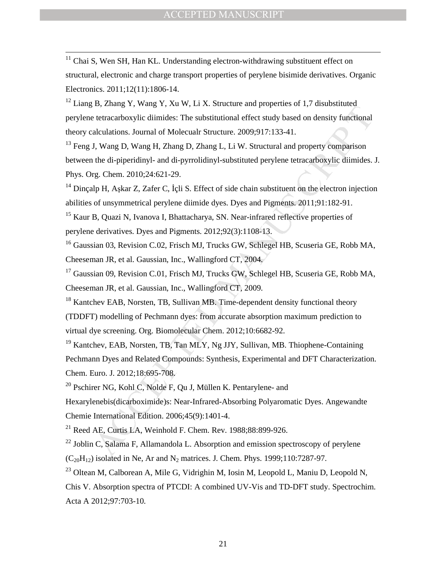$11$  Chai S, Wen SH, Han KL. Understanding electron-withdrawing substituent effect on structural, electronic and charge transport properties of perylene bisimide derivatives. Organic Electronics. 2011;12(11):1806-14.

-

 $12$  Liang B, Zhang Y, Wang Y, Xu W, Li X. Structure and properties of 1,7 disubstituted perylene tetracarboxylic diimides: The substitutional effect study based on density functional theory calculations. Journal of Molecualr Structure. 2009;917:133-41.

17. Amarg 1, Way 1, T.4 W. D. Matkalet and properties of ty, tastavantare, the terracarboxylic dimitdes: The substitutional effect study based on density functional<br>alculations. Journal of Molecualr Structure. 2009;917:133  $^{13}$  Feng J, Wang D, Wang H, Zhang D, Zhang L, Li W. Structural and property comparison between the di-piperidinyl- and di-pyrrolidinyl-substituted perylene tetracarboxylic diimides. J. Phys. Org. Chem. 2010;24:621-29.

 $14$  Dinçalp H, Aşkar Z, Zafer C, İçli S. Effect of side chain substituent on the electron injection abilities of unsymmetrical perylene diimide dyes. Dyes and Pigments. 2011;91:182-91.

<sup>15</sup> Kaur B, Quazi N, Ivanova I, Bhattacharya, SN. Near-infrared reflective properties of perylene derivatives. Dyes and Pigments. 2012;92(3):1108-13.

<sup>16</sup> Gaussian 03, Revision C.02, Frisch MJ, Trucks GW, Schlegel HB, Scuseria GE, Robb MA, Cheeseman JR, et al. Gaussian, Inc., Wallingford CT, 2004.

<sup>17</sup> Gaussian 09, Revision C.01, Frisch MJ, Trucks GW, Schlegel HB, Scuseria GE, Robb MA, Cheeseman JR, et al. Gaussian, Inc., Wallingford CT, 2009.

 $18$  Kantchev EAB, Norsten, TB, Sullivan MB, Time-dependent density functional theory (TDDFT) modelling of Pechmann dyes: from accurate absorption maximum prediction to virtual dye screening. Org. Biomolecular Chem. 2012;10:6682-92.

<sup>19</sup> Kantchev, EAB, Norsten, TB, Tan MLY, Ng JJY, Sullivan, MB. Thiophene-Containing Pechmann Dyes and Related Compounds: Synthesis, Experimental and DFT Characterization. Chem. Euro. J. 2012;18:695-708.

 $^{20}$  Pschirer NG, Kohl C, Nolde F, Qu J, Müllen K. Pentarylene- and

Hexarylenebis(dicarboximide)s: Near-Infrared-Absorbing Polyaromatic Dyes. Angewandte Chemie International Edition. 2006;45(9):1401-4.

 $^{21}$  Reed AE, Curtis LA, Weinhold F. Chem. Rev. 1988;88:899-926.

 $^{22}$  Joblin C, Salama F, Allamandola L. Absorption and emission spectroscopy of perylene

 $(C_{20}H_{12})$  isolated in Ne, Ar and N<sub>2</sub> matrices. J. Chem. Phys. 1999;110:7287-97.

 $^{23}$  Oltean M, Calborean A, Mile G, Vidrighin M, Iosin M, Leopold L, Maniu D, Leopold N,

Chis V. Absorption spectra of PTCDI: A combined UV-Vis and TD-DFT study. Spectrochim. Acta A 2012;97:703-10.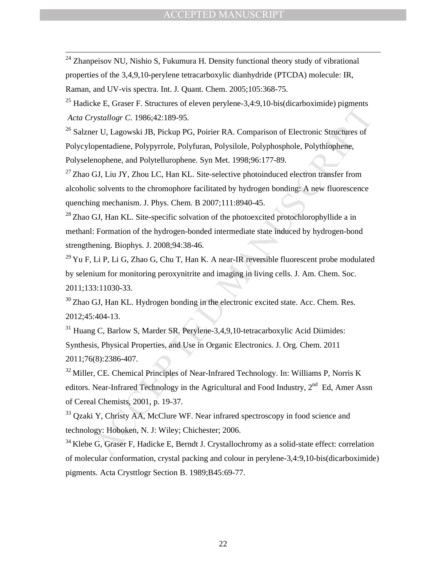- $24$  Zhanpeisov NU, Nishio S, Fukumura H. Density functional theory study of vibrational properties of the 3,4,9,10-perylene tetracarboxylic dianhydride (PTCDA) molecule: IR, Raman, and UV-vis spectra. Int. J. Quant. Chem. 2005;105:368-75.

<sup>25</sup> Hadicke E, Graser F. Structures of eleven perylene-3,4:9,10-bis(dicarboximide) pigments *Acta Crystallogr C*. 1986;42:189-95.

 $^{26}$  Salzner U, Lagowski JB, Pickup PG, Poirier RA. Comparison of Electronic Structures of Polycylopentadiene, Polypyrrole, Polyfuran, Polysilole, Polyphosphole, Polythiophene, Polyselenophene, and Polytellurophene. Syn Met. 1998;96:177-89.

 $^{27}$ Zhao GJ, Liu JY, Zhou LC, Han KL. Site-selective photoinduced electron transfer from alcoholic solvents to the chromophore facilitated by hydrogen bonding: A new fluorescence quenching mechanism. J. Phys. Chem. B 2007;111:8940-45.

 $^{28}$ Zhao GJ, Han KL. Site-specific solvation of the photoexcited protochlorophyllide a in methanl: Formation of the hydrogen-bonded intermediate state induced by hydrogen-bond strengthening. Biophys. J. 2008;94:38-46.

<sup>29</sup> Yu F, Li P, Li G, Zhao G, Chu T, Han K. A near-IR reversible fluorescent probe modulated by selenium for monitoring peroxynitrite and imaging in living cells. J. Am. Chem. Soc. 2011;133:11030-33.

 $30$ Zhao GJ, Han KL. Hydrogen bonding in the electronic excited state. Acc. Chem. Res. 2012;45:404-13.

<sup>31</sup> Huang C, Barlow S, Marder SR, Perylene-3,4,9,10-tetracarboxylic Acid Diimides: Synthesis, Physical Properties, and Use in Organic Electronics. J. Org. Chem. 2011 2011;76(8):2386-407.

Et Prinster Fishelmanne of the there is proposed the CF professor of Retroit Engines (Sytallog C. 1986:42:189-95.<br>
Figure 1: Judge D. Distript PG, Poirier RA. Comparison of Electronic Structures of<br>
operatatione, Polypyrro  $32$  Miller, CE. Chemical Principles of Near-Infrared Technology. In: Williams P, Norris K editors. Near-Infrared Technology in the Agricultural and Food Industry,  $2<sup>nd</sup>$  Ed, Amer Assn of Cereal Chemists, 2001, p. 19-37.

<sup>33</sup> Ozaki Y, Christy AA, McClure WF. Near infrared spectroscopy in food science and technology: Hoboken, N. J: Wiley; Chichester; 2006.

 $34$  Klebe G, Graser F, Hadicke E, Berndt J. Crystallochromy as a solid-state effect: correlation of molecular conformation, crystal packing and colour in perylene-3,4:9,10-bis(dicarboximide) pigments. Acta Crysttlogr Section B. 1989;B45:69-77.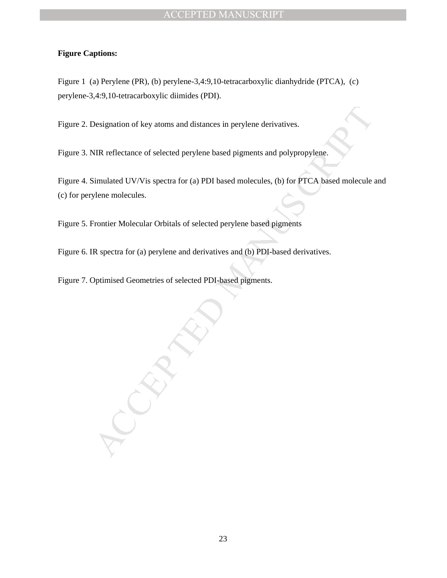#### **Figure Captions:**

Figure 1 (a) Perylene (PR), (b) perylene-3,4:9,10-tetracarboxylic dianhydride (PTCA), (c) perylene-3,4:9,10-tetracarboxylic diimides (PDI).

Figure 2. Designation of key atoms and distances in perylene derivatives.

Figure 3. NIR reflectance of selected perylene based pigments and polypropylene.

Designation of key atoms and distances in perylene derivatives.<br>
MIR reflectance of selected perylene based pigments and polypropylene.<br>
Simulated UV/Vis spectra for (a) PDI based molecules, (b) for PTCA based molecule<br>
yl Figure 4. Simulated UV/Vis spectra for (a) PDI based molecules, (b) for PTCA based molecule and (c) for perylene molecules.

Figure 5. Frontier Molecular Orbitals of selected perylene based pigments

Figure 6. IR spectra for (a) perylene and derivatives and (b) PDI-based derivatives.

Figure 7. Optimised Geometries of selected PDI-based pigments.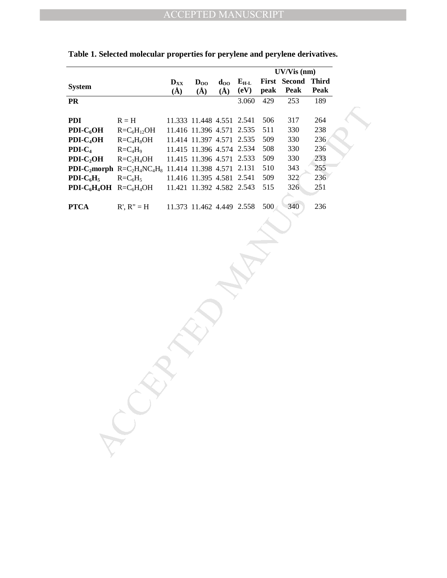|                                                        |                                                                                                                        |                                           |                           |                                                |                   |      | $UV/V$ is $(nm)$            |               |  |
|--------------------------------------------------------|------------------------------------------------------------------------------------------------------------------------|-------------------------------------------|---------------------------|------------------------------------------------|-------------------|------|-----------------------------|---------------|--|
| <b>System</b>                                          |                                                                                                                        | $\mathbf{D}_{\mathbf{XX}}$<br>$\check{A}$ | $D_{OO}$<br>(A)           | $\mathbf{d}_{\mathbf{0}\mathbf{0}}$<br>$(\AA)$ | $E_{H-L}$<br>(eV) | peak | <b>First</b> Second<br>Peak | Third<br>Peak |  |
| <b>PR</b>                                              |                                                                                                                        |                                           |                           |                                                | 3.060             | 429  | 253                         | 189           |  |
| <b>PDI</b>                                             | $R = H$                                                                                                                |                                           | 11.333 11.448 4.551 2.541 |                                                |                   | 506  | 317                         | 264           |  |
| $PDI-C6OH$                                             | $R = C_6H_{12}OH$                                                                                                      |                                           | 11.416 11.396 4.571 2.535 |                                                |                   | 511  | 330                         | 238           |  |
| $PDI-C4OH$                                             | $R = C_4H_8OH$                                                                                                         |                                           | 11.414 11.397 4.571 2.535 |                                                |                   | 509  | 330                         | 236           |  |
| $PDI-C4$                                               | $R = C4H9$                                                                                                             |                                           | 11.415 11.396 4.574 2.534 |                                                |                   | 508  | 330                         | 236           |  |
| $PDI-C2OH$                                             | $R = C2H4OH$                                                                                                           |                                           | 11.415 11.396 4.571 2.533 |                                                |                   | 509  | 330                         | 233           |  |
|                                                        | <b>PDI-C<sub>2</sub>morph</b> R=C <sub>2</sub> H <sub>4</sub> NC <sub>4</sub> H <sub>8</sub> 11.414 11.398 4.571 2.131 |                                           |                           |                                                |                   | 510  | 343                         | 255           |  |
| $PDI-C6H5$                                             | $R = C_6H_5$                                                                                                           |                                           | 11.416 11.395 4.581 2.541 |                                                |                   | 509  | 322                         | 236           |  |
| <b>PDI-C<sub>6</sub>H<sub>4</sub>OH</b> $R = C_6H_4OH$ |                                                                                                                        |                                           | 11.421 11.392 4.582 2.543 |                                                |                   | 515  | 326                         | 251           |  |
| <b>PTCA</b>                                            | $R'$ , $R'' = H$                                                                                                       |                                           | 11.373 11.462 4.449 2.558 |                                                |                   | 500  | 340                         | 236           |  |

**MANUSCRIPT ACCEPTED** 

| Table 1. Selected molecular properties for perylene and perylene derivatives. |  |  |  |  |  |  |  |  |
|-------------------------------------------------------------------------------|--|--|--|--|--|--|--|--|
|-------------------------------------------------------------------------------|--|--|--|--|--|--|--|--|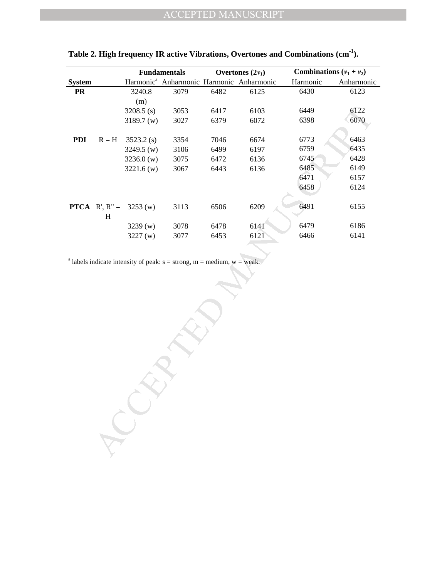|                                                   |           |              | <b>Fundamentals</b>                                                                 |      | Overtones $(2v_1)$                                   | Combinations $(v_1 + v_2)$ |            |
|---------------------------------------------------|-----------|--------------|-------------------------------------------------------------------------------------|------|------------------------------------------------------|----------------------------|------------|
| <b>System</b>                                     |           |              |                                                                                     |      | Harmonic <sup>a</sup> Anharmonic Harmonic Anharmonic | Harmonic                   | Anharmonic |
| <b>PR</b>                                         |           | 3240.8       | 3079                                                                                | 6482 | 6125                                                 | 6430                       | 6123       |
|                                                   |           | (m)          |                                                                                     |      |                                                      |                            |            |
|                                                   |           | 3208.5 $(s)$ | 3053                                                                                | 6417 | 6103                                                 | 6449                       | 6122       |
|                                                   |           | $3189.7$ (w) | 3027                                                                                | 6379 | 6072                                                 | 6398                       | 6070       |
|                                                   |           |              |                                                                                     |      |                                                      |                            |            |
| <b>PDI</b>                                        | $R = H$   | $3523.2$ (s) | 3354                                                                                | 7046 | 6674                                                 | 6773                       | 6463       |
|                                                   |           | 3249.5 $(w)$ | 3106                                                                                | 6499 | 6197                                                 | 6759                       | 6435       |
|                                                   |           | 3236.0(w)    | 3075                                                                                | 6472 | 6136                                                 | 6745                       | 6428       |
|                                                   |           | 3221.6(w)    | 3067                                                                                | 6443 | 6136                                                 | 6485                       | 6149       |
|                                                   |           |              |                                                                                     |      |                                                      | 6471                       | 6157       |
|                                                   |           |              |                                                                                     |      |                                                      | 6458                       | 6124       |
|                                                   |           |              |                                                                                     |      |                                                      |                            |            |
| <b>PTCA</b> $R$ <sup>'</sup> , $R$ <sup>"</sup> = |           | 3253(w)      | 3113                                                                                | 6506 | 6209                                                 | 6491                       | 6155       |
|                                                   | $H_{\rm}$ |              |                                                                                     |      |                                                      |                            |            |
|                                                   |           | 3239(w)      | 3078                                                                                | 6478 | 6141                                                 | 6479                       | 6186       |
|                                                   |           | 3227(w)      | 3077                                                                                | 6453 | 6121                                                 | 6466                       | 6141       |
|                                                   |           |              |                                                                                     |      |                                                      |                            |            |
|                                                   |           |              | <sup>a</sup> labels indicate intensity of peak: $s =$ strong, m = medium, w = weak. |      |                                                      |                            |            |

# **Table 2. High frequency IR active Vibrations, Overtones and Combinations (cm-1).**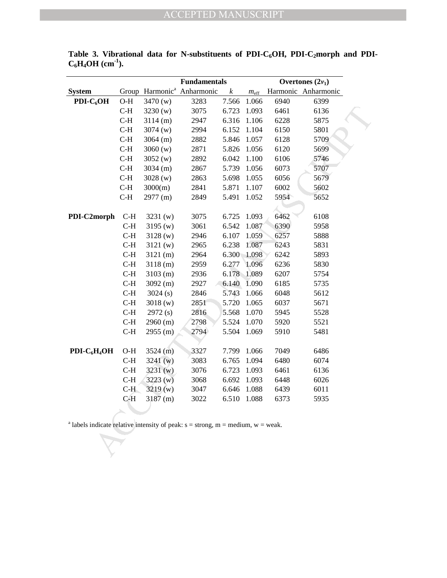| Harmonic <sup>a</sup><br>Anharmonic<br>Harmonic Anharmonic<br><b>System</b><br>Group<br>$\boldsymbol{k}$<br>$m_{\rm eff}$<br>$PDI-C6OH$<br>$O-H$<br>7.566<br>6940<br>6399<br>3470(w)<br>3283<br>1.066<br>$C-H$<br>1.093<br>6461<br>3230(w)<br>3075<br>6.723<br>6136<br>$C-H$<br>2947<br>6.316<br>5875<br>3114 (m)<br>1.106<br>6228 |
|------------------------------------------------------------------------------------------------------------------------------------------------------------------------------------------------------------------------------------------------------------------------------------------------------------------------------------|
|                                                                                                                                                                                                                                                                                                                                    |
|                                                                                                                                                                                                                                                                                                                                    |
|                                                                                                                                                                                                                                                                                                                                    |
|                                                                                                                                                                                                                                                                                                                                    |
| $C-H$<br>2994<br>3074(w)<br>6.152<br>1.104<br>6150<br>5801                                                                                                                                                                                                                                                                         |
| $C-H$<br>5709<br>$3064$ (m)<br>2882<br>5.846<br>1.057<br>6128                                                                                                                                                                                                                                                                      |
| $C-H$<br>5.826<br>1.056<br>5699<br>3060(w)<br>2871<br>6120                                                                                                                                                                                                                                                                         |
| 5746<br>$C-H$<br>2892<br>6.042<br>1.100<br>6106<br>3052(w)                                                                                                                                                                                                                                                                         |
| $C-H$<br>3034 (m)<br>2867<br>5.739<br>1.056<br>6073<br>5707                                                                                                                                                                                                                                                                        |
| $C-H$<br>5679<br>3028(w)<br>2863<br>5.698<br>1.055<br>6056                                                                                                                                                                                                                                                                         |
| $C-H$<br>3000(m)<br>2841<br>5.871<br>1.107<br>6002<br>5602                                                                                                                                                                                                                                                                         |
| $C-H$<br>5954<br>5652<br>2849<br>5.491<br>1.052<br>2977(m)                                                                                                                                                                                                                                                                         |
|                                                                                                                                                                                                                                                                                                                                    |
| 6108<br>PDI-C2morph<br>$C-H$<br>3231(w)<br>3075<br>6.725<br>1.093<br>6462                                                                                                                                                                                                                                                          |
| $C-H$<br>3195(w)<br>3061<br>6.542<br>1.087<br>6390<br>5958                                                                                                                                                                                                                                                                         |
| $C-H$<br>6.107<br>1.059<br>6257<br>5888<br>3128(w)<br>2946                                                                                                                                                                                                                                                                         |
| $C-H$<br>6.238<br>1.087<br>6243<br>5831<br>3121(w)<br>2965                                                                                                                                                                                                                                                                         |
| $C-H$<br>3121(m)<br>6.300 1.098<br>6242<br>5893<br>2964                                                                                                                                                                                                                                                                            |
| $C-H$<br>6.277<br>3118(m)<br>2959<br>1.096<br>6236<br>5830                                                                                                                                                                                                                                                                         |
| $C-H$<br>3103 (m)<br>2936<br>6.178 1.089<br>6207<br>5754                                                                                                                                                                                                                                                                           |
| $C-H$<br>2927<br>6.140<br>1.090<br>6185<br>5735<br>3092(m)                                                                                                                                                                                                                                                                         |
| $C-H$<br>2846<br>5.743<br>1.066<br>6048<br>5612<br>3024(s)                                                                                                                                                                                                                                                                         |
| $C-H$<br>2851<br>5.720<br>1.065<br>6037<br>5671<br>3018(w)                                                                                                                                                                                                                                                                         |
| $C-H$<br>2816<br>5.568<br>1.070<br>5528<br>2972(s)<br>5945                                                                                                                                                                                                                                                                         |
| $C-H$<br>5.524<br>1.070<br>5521<br>$2960$ (m)<br>2798<br>5920                                                                                                                                                                                                                                                                      |
| $C-H$<br>2794<br>5.504<br>5481<br>2955(m)<br>1.069<br>5910                                                                                                                                                                                                                                                                         |
|                                                                                                                                                                                                                                                                                                                                    |
| $PDI-C6H4OH$<br>$O-H$<br>3524 (m)<br>7.799<br>1.066<br>7049<br>6486<br>3327                                                                                                                                                                                                                                                        |
| $C-H$<br>3241(w)<br>3083<br>6.765<br>1.094<br>6480<br>6074                                                                                                                                                                                                                                                                         |
| $C-H$<br>3231(w)<br>3076<br>6.723<br>1.093<br>6461<br>6136                                                                                                                                                                                                                                                                         |
| $C-H$<br>3223(w)<br>6.692<br>1.093<br>6026<br>3068<br>6448                                                                                                                                                                                                                                                                         |
| $C-H$<br>3219(w)<br>1.088<br>3047<br>6.646<br>6439<br>6011                                                                                                                                                                                                                                                                         |
| $C-H$<br>3187(m)<br>3022<br>6.510<br>1.088<br>6373<br>5935                                                                                                                                                                                                                                                                         |
|                                                                                                                                                                                                                                                                                                                                    |
| <sup>a</sup> labels indicate relative intensity of peak: $s =$ strong, $m =$ medium, $w =$ weak.                                                                                                                                                                                                                                   |
|                                                                                                                                                                                                                                                                                                                                    |
|                                                                                                                                                                                                                                                                                                                                    |
|                                                                                                                                                                                                                                                                                                                                    |

Table 3. Vibrational data for N-substituents of PDI-C<sub>6</sub>OH, PDI-C<sub>2</sub>morph and PDI- $C_6H_4OH$  (cm<sup>-1</sup>).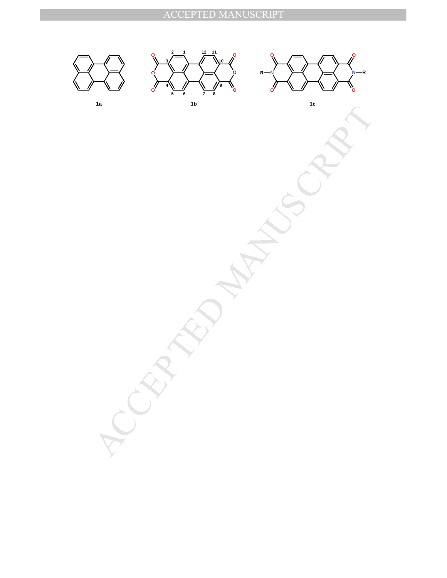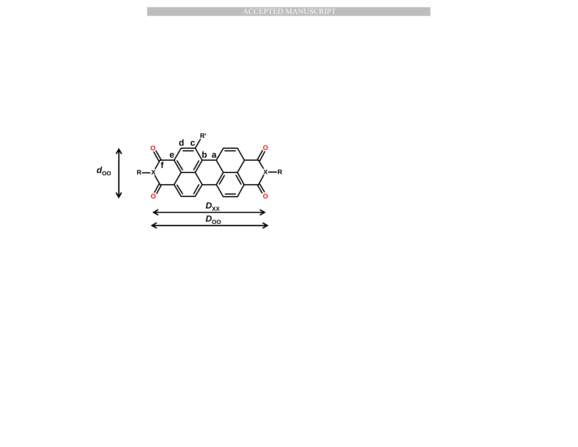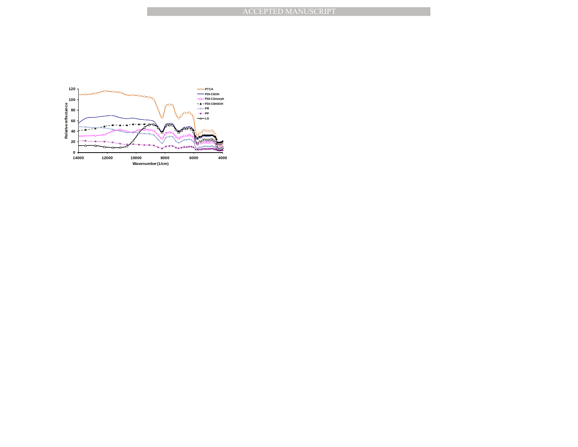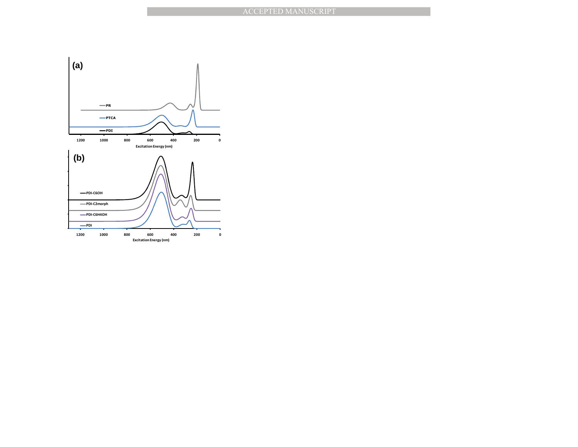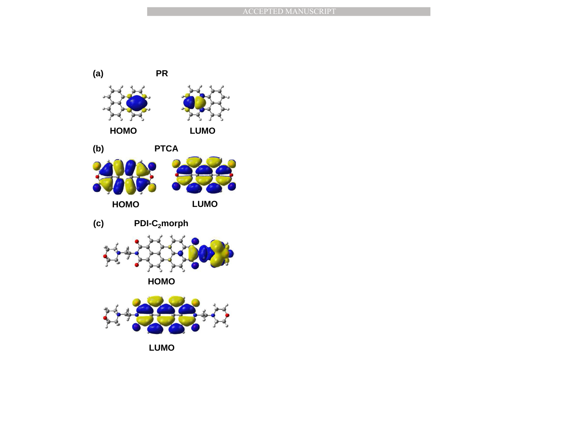



**(c) PDI-C2morph**



**HOMO**



**LUMO**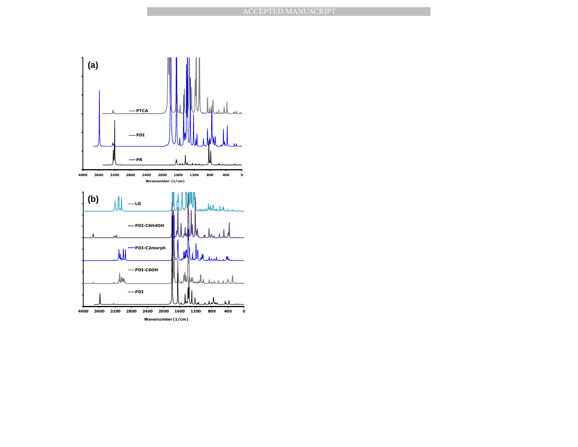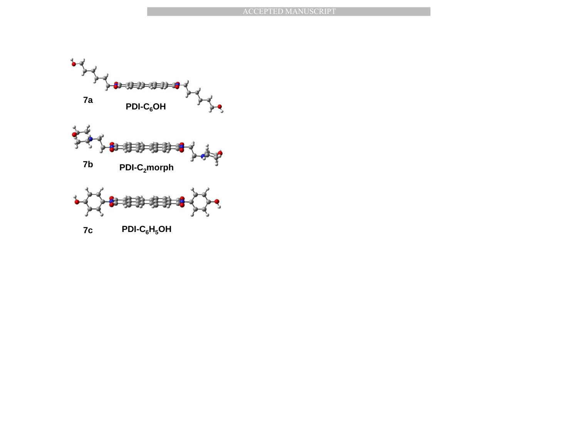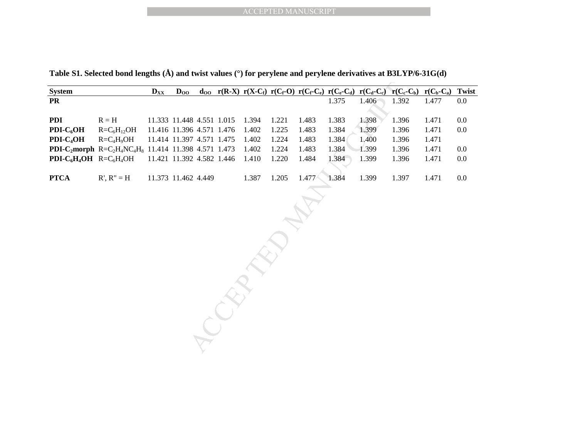| <b>System</b>                                        |                                                                                                                   | $D_{XX}$ | $D_{OO}$                  |  |       |       |       |       |       | $d_{00}$ r(R-X) r(X-C <sub>f</sub> ) r(C <sub>f</sub> -C <sub>t</sub> ) r(C <sub>f</sub> -C <sub>e</sub> ) r(C <sub>e</sub> -C <sub>d</sub> ) r(C <sub>d</sub> -C <sub>c</sub> ) r(C <sub>c</sub> -C <sub>b</sub> ) r(C <sub>b</sub> -C <sub>a</sub> ) |       | Twist   |
|------------------------------------------------------|-------------------------------------------------------------------------------------------------------------------|----------|---------------------------|--|-------|-------|-------|-------|-------|--------------------------------------------------------------------------------------------------------------------------------------------------------------------------------------------------------------------------------------------------------|-------|---------|
| <b>PR</b>                                            |                                                                                                                   |          |                           |  |       |       |       | 1.375 | 1.406 | 1.392                                                                                                                                                                                                                                                  | 1.477 | $0.0\,$ |
|                                                      |                                                                                                                   |          |                           |  |       |       |       |       |       |                                                                                                                                                                                                                                                        |       |         |
| <b>PDI</b>                                           | $R = H$                                                                                                           |          | 11.333 11.448 4.551 1.015 |  | 1.394 | 1.221 | 1.483 | 1.383 | 1.398 | 1.396                                                                                                                                                                                                                                                  | 1.471 | 0.0     |
| $PDI-C6OH$                                           | $R=C_6H_{12}OH$                                                                                                   |          | 11.416 11.396 4.571 1.476 |  | 1.402 | 1.225 | 1.483 | 1.384 | 1.399 | 1.396                                                                                                                                                                                                                                                  | 1.471 | $0.0\,$ |
| $PDI-C4OH$                                           | $R = C4H9OH$                                                                                                      |          | 11.414 11.397 4.571 1.475 |  | 1.402 | 1.224 | 1.483 | 1.384 | 1,400 | 1.396                                                                                                                                                                                                                                                  | 1.471 |         |
|                                                      | PDI-C <sub>2</sub> morph R=C <sub>2</sub> H <sub>4</sub> NC <sub>4</sub> H <sub>8</sub> 11.414 11.398 4.571 1.473 |          |                           |  | 1.402 | 1.224 | 1.483 | 1.384 | 1.399 | 1.396                                                                                                                                                                                                                                                  | 1.471 | 0.0     |
| <b>PDI-C<sub>6</sub>H<sub>4</sub>OH</b> $R=C_6H_4OH$ |                                                                                                                   |          | 11.421 11.392 4.582 1.446 |  | 1.410 | 1.220 | 1.484 | 1.384 | 1.399 | 1.396                                                                                                                                                                                                                                                  | 1.471 | $0.0\,$ |
|                                                      |                                                                                                                   |          |                           |  |       |       |       |       |       |                                                                                                                                                                                                                                                        |       |         |
| <b>PTCA</b>                                          | $R', R'' = H$                                                                                                     |          | 11.373 11.462 4.449       |  | 1.387 | 1.205 | 1.477 | 1.384 | 1.399 | 1.397                                                                                                                                                                                                                                                  | 1.471 | $0.0\,$ |
|                                                      |                                                                                                                   |          |                           |  |       |       |       |       |       |                                                                                                                                                                                                                                                        |       |         |
|                                                      |                                                                                                                   |          |                           |  |       |       |       |       |       |                                                                                                                                                                                                                                                        |       |         |
|                                                      |                                                                                                                   |          |                           |  |       |       |       |       |       |                                                                                                                                                                                                                                                        |       |         |
|                                                      |                                                                                                                   |          |                           |  |       |       |       |       |       |                                                                                                                                                                                                                                                        |       |         |
|                                                      |                                                                                                                   |          |                           |  |       |       |       |       |       |                                                                                                                                                                                                                                                        |       |         |
|                                                      |                                                                                                                   |          |                           |  |       |       |       |       |       |                                                                                                                                                                                                                                                        |       |         |
|                                                      |                                                                                                                   |          |                           |  |       |       |       |       |       |                                                                                                                                                                                                                                                        |       |         |
|                                                      |                                                                                                                   |          |                           |  |       |       |       |       |       |                                                                                                                                                                                                                                                        |       |         |
|                                                      |                                                                                                                   |          |                           |  |       |       |       |       |       |                                                                                                                                                                                                                                                        |       |         |
|                                                      |                                                                                                                   |          |                           |  |       |       |       |       |       |                                                                                                                                                                                                                                                        |       |         |
|                                                      |                                                                                                                   |          |                           |  |       |       |       |       |       |                                                                                                                                                                                                                                                        |       |         |
|                                                      |                                                                                                                   |          |                           |  |       |       |       |       |       |                                                                                                                                                                                                                                                        |       |         |
|                                                      |                                                                                                                   |          |                           |  |       |       |       |       |       |                                                                                                                                                                                                                                                        |       |         |
|                                                      |                                                                                                                   |          |                           |  |       |       |       |       |       |                                                                                                                                                                                                                                                        |       |         |
|                                                      |                                                                                                                   |          |                           |  |       |       |       |       |       |                                                                                                                                                                                                                                                        |       |         |
|                                                      |                                                                                                                   |          |                           |  |       |       |       |       |       |                                                                                                                                                                                                                                                        |       |         |
|                                                      |                                                                                                                   |          |                           |  |       |       |       |       |       |                                                                                                                                                                                                                                                        |       |         |
|                                                      |                                                                                                                   |          |                           |  |       |       |       |       |       |                                                                                                                                                                                                                                                        |       |         |

**Table S1. Selected bond lengths (Å) and twist values (°) for perylene and perylene derivatives at B3LYP/6-31G(d)**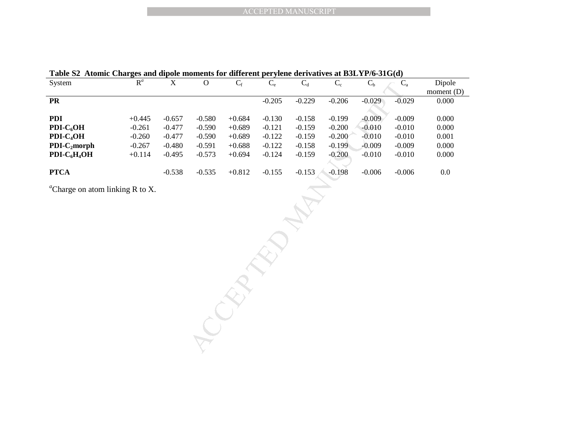| System                                | $\mathbf{R}^a$ | $\mathbf X$ | $\overline{O}$ | $C_{\rm f}$ | $C_{\rm e}$ | $C_{\rm d}$ | $\mathbf{C}_{\rm c}$ | $\mathrm{C_{b}}$ | $\mathbf{C}_\mathrm{a}$ | Dipole     |
|---------------------------------------|----------------|-------------|----------------|-------------|-------------|-------------|----------------------|------------------|-------------------------|------------|
|                                       |                |             |                |             |             |             |                      |                  |                         | moment (D) |
| <b>PR</b>                             |                |             |                |             | $-0.205$    | $-0.229$    | $-0.206$             | $-0.029$         | $-0.029$                | 0.000      |
|                                       |                |             |                |             |             |             |                      |                  |                         |            |
| <b>PDI</b>                            | $+0.445$       | $-0.657$    | $-0.580$       | $+0.684$    | $-0.130$    | $-0.158$    | $-0.199$             | $-0.009$         | $-0.009$                | 0.000      |
| $PDI-C6OH$                            | $-0.261$       | $-0.477$    | $-0.590$       | $+0.689$    | $-0.121$    | $-0.159$    | $-0.200$             | $-0.010$         | $-0.010$                | 0.000      |
| $PDI-C4OH$                            | $-0.260$       | $-0.477$    | $-0.590$       | $+0.689$    | $-0.122$    | $-0.159$    | $-0.200$             | $-0.010$         | $-0.010$                | 0.001      |
| $PDI-C2morph$                         | $-0.267$       | $-0.480$    | $-0.591$       | $+0.688$    | $-0.122$    | $-0.158$    | $-0.199$             | $-0.009$         | $-0.009$                | 0.000      |
| PDI- $C_6H_4OH$                       | $+0.114$       | $-0.495$    | $-0.573$       | $+0.694$    | $-0.124$    | $-0.159$    | $-0.200$             | $-0.010$         | $-0.010$                | 0.000      |
|                                       |                |             |                |             |             |             |                      |                  |                         |            |
| <b>PTCA</b>                           |                | $-0.538$    | $-0.535$       | $+0.812$    | $-0.155$    | $-0.153$    | $-0.198$             | $-0.006$         | $-0.006$                | $0.0\,$    |
|                                       |                |             |                |             |             |             |                      |                  |                         |            |
| ${}^a$ Charge on atom linking R to X. |                |             |                |             |             |             |                      |                  |                         |            |
|                                       |                |             |                |             |             |             |                      |                  |                         |            |
|                                       |                |             |                |             |             |             |                      |                  |                         |            |
|                                       |                |             |                |             |             |             |                      |                  |                         |            |
|                                       |                |             |                |             |             |             |                      |                  |                         |            |
|                                       |                |             |                |             |             |             |                      |                  |                         |            |
|                                       |                |             |                |             |             |             |                      |                  |                         |            |
|                                       |                |             |                |             |             |             |                      |                  |                         |            |
|                                       |                |             |                |             |             |             |                      |                  |                         |            |
|                                       |                |             |                |             |             |             |                      |                  |                         |            |
|                                       |                |             |                |             |             |             |                      |                  |                         |            |
|                                       |                |             |                |             |             |             |                      |                  |                         |            |
|                                       |                |             |                |             |             |             |                      |                  |                         |            |
|                                       |                |             |                |             |             |             |                      |                  |                         |            |
|                                       |                |             |                |             |             |             |                      |                  |                         |            |
|                                       |                |             |                |             |             |             |                      |                  |                         |            |
|                                       |                |             |                |             |             |             |                      |                  |                         |            |
|                                       |                |             |                |             |             |             |                      |                  |                         |            |

|  |  | Table S2 Atomic Charges and dipole moments for different pervlene derivatives at B3LYP/6-31G(d) |
|--|--|-------------------------------------------------------------------------------------------------|
|  |  |                                                                                                 |